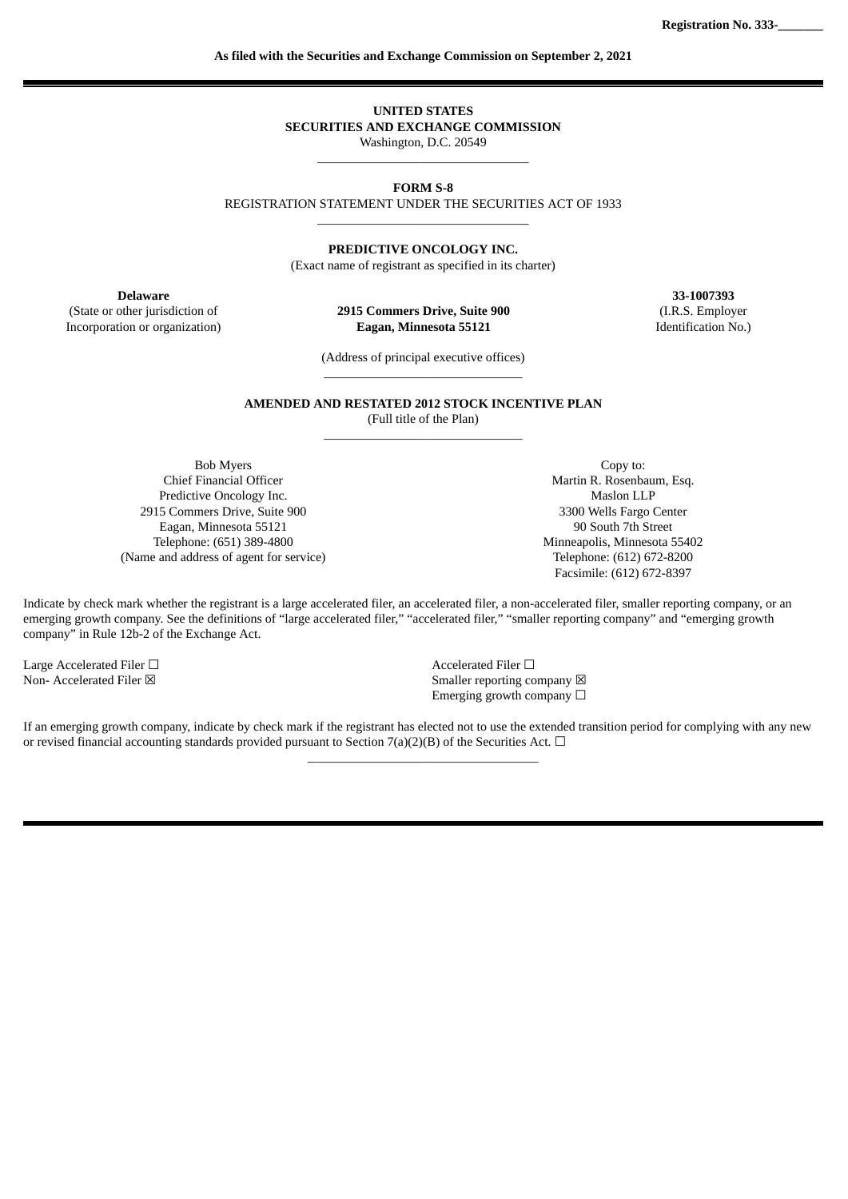**UNITED STATES SECURITIES AND EXCHANGE COMMISSION** Washington, D.C. 20549

\_\_\_\_\_\_\_\_\_\_\_\_\_\_\_\_\_\_\_\_\_\_\_\_\_\_\_\_\_\_\_\_\_

## **FORM S-8**

REGISTRATION STATEMENT UNDER THE SECURITIES ACT OF 1933 \_\_\_\_\_\_\_\_\_\_\_\_\_\_\_\_\_\_\_\_\_\_\_\_\_\_\_\_\_\_\_\_\_

**PREDICTIVE ONCOLOGY INC.**

(Exact name of registrant as specified in its charter)

(State or other jurisdiction of **2915 Commers Drive, Suite 900 Eagan, Minnesota 55121** Incorporation or organization) **Eagan, Minnesota 55121** Identification No.)

**Delaware 33-1007393** (I.R.S. Employer

> (Address of principal executive offices) \_\_\_\_\_\_\_\_\_\_\_\_\_\_\_\_\_\_\_\_\_\_\_\_\_\_\_\_\_\_\_

**AMENDED AND RESTATED 2012 STOCK INCENTIVE PLAN** (Full title of the Plan) \_\_\_\_\_\_\_\_\_\_\_\_\_\_\_\_\_\_\_\_\_\_\_\_\_\_\_\_\_\_\_

Bob Myers Chief Financial Officer Predictive Oncology Inc. 2915 Commers Drive, Suite 900 Eagan, Minnesota 55121 Telephone: (651) 389-4800 (Name and address of agent for service)

Copy to: Martin R. Rosenbaum, Esq. Maslon LLP 3300 Wells Fargo Center 90 South 7th Street Minneapolis, Minnesota 55402 Telephone: (612) 672-8200 Facsimile: (612) 672-8397

Indicate by check mark whether the registrant is a large accelerated filer, an accelerated filer, a non-accelerated filer, smaller reporting company, or an emerging growth company. See the definitions of "large accelerated filer," "accelerated filer," "smaller reporting company" and "emerging growth company" in Rule 12b-2 of the Exchange Act.

Large Accelerated Filer □<br>
Non- Accelerated Filer ⊠<br>
Non- Accelerated Filer ⊠

Smaller reporting company  $\boxtimes$ Emerging growth company  $\Box$ 

If an emerging growth company, indicate by check mark if the registrant has elected not to use the extended transition period for complying with any new or revised financial accounting standards provided pursuant to Section 7(a)(2)(B) of the Securities Act.  $\Box$  $\_$  . The set of the set of the set of the set of the set of the set of the set of the set of the set of the set of the set of the set of the set of the set of the set of the set of the set of the set of the set of the se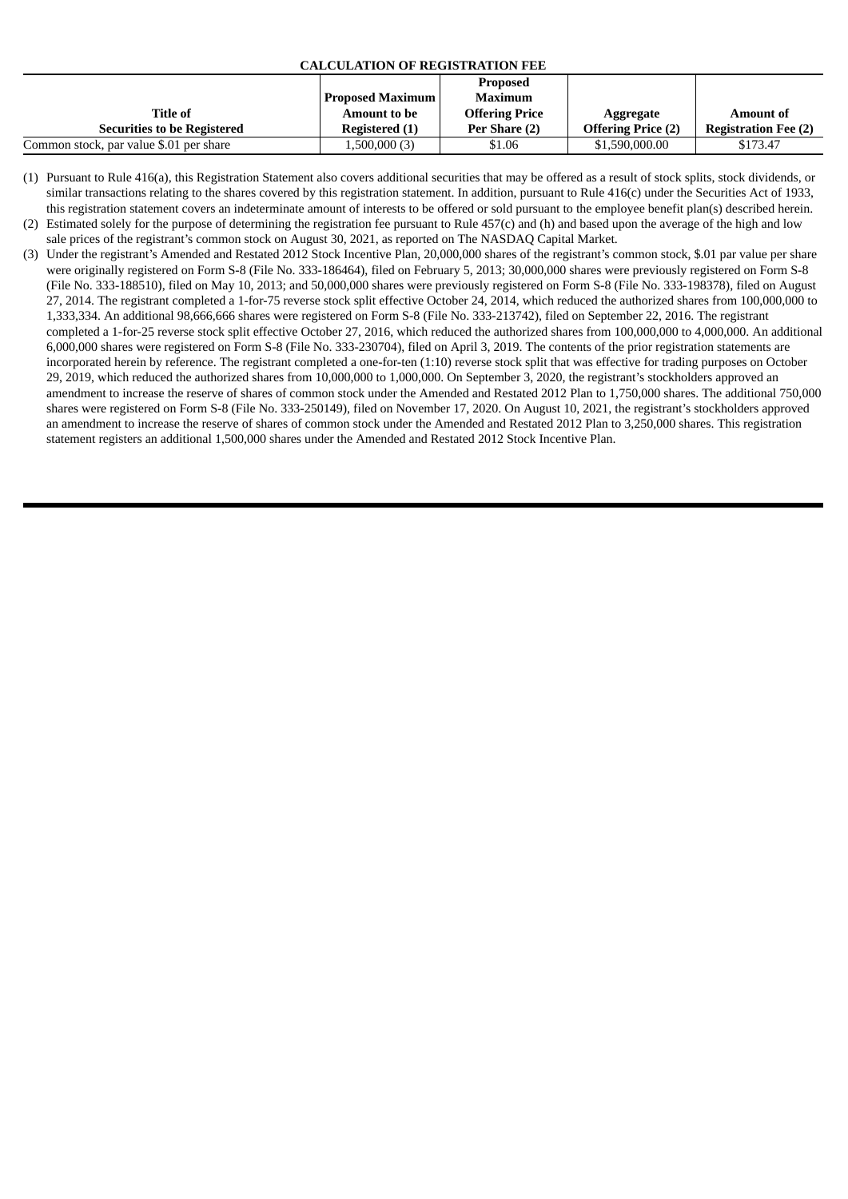## **CALCULATION OF REGISTRATION FEE**

| Title of<br><b>Securities to be Registered</b> | <b>Proposed Maximum</b><br><b>Amount to be</b><br>Registered (1) | <b>Proposed</b><br>Maximum<br><b>Offering Price</b><br>Per Share (2) | Aggregate<br><b>Offering Price (2)</b> | <b>Amount of</b><br><b>Registration Fee (2)</b> |
|------------------------------------------------|------------------------------------------------------------------|----------------------------------------------------------------------|----------------------------------------|-------------------------------------------------|
| Common stock, par value \$.01 per share        | 1,500,000 (3)                                                    | \$1.06                                                               | \$1,590,000.00                         | \$173.47                                        |

- (1) Pursuant to Rule 416(a), this Registration Statement also covers additional securities that may be offered as a result of stock splits, stock dividends, or similar transactions relating to the shares covered by this registration statement. In addition, pursuant to Rule 416(c) under the Securities Act of 1933, this registration statement covers an indeterminate amount of interests to be offered or sold pursuant to the employee benefit plan(s) described herein. (2) Estimated solely for the purpose of determining the registration fee pursuant to Rule 457(c) and (h) and based upon the average of the high and low
- sale prices of the registrant's common stock on August 30, 2021, as reported on The NASDAQ Capital Market.
	- (3) Under the registrant's Amended and Restated 2012 Stock Incentive Plan, 20,000,000 shares of the registrant's common stock, \$.01 par value per share were originally registered on Form S-8 (File No. 333-186464), filed on February 5, 2013; 30,000,000 shares were previously registered on Form S-8 (File No. 333-188510), filed on May 10, 2013; and 50,000,000 shares were previously registered on Form S-8 (File No. 333-198378), filed on August 27, 2014. The registrant completed a 1-for-75 reverse stock split effective October 24, 2014, which reduced the authorized shares from 100,000,000 to 1,333,334. An additional 98,666,666 shares were registered on Form S-8 (File No. 333-213742), filed on September 22, 2016. The registrant completed a 1-for-25 reverse stock split effective October 27, 2016, which reduced the authorized shares from 100,000,000 to 4,000,000. An additional 6,000,000 shares were registered on Form S-8 (File No. 333-230704), filed on April 3, 2019. The contents of the prior registration statements are incorporated herein by reference. The registrant completed a one-for-ten (1:10) reverse stock split that was effective for trading purposes on October 29, 2019, which reduced the authorized shares from 10,000,000 to 1,000,000. On September 3, 2020, the registrant's stockholders approved an amendment to increase the reserve of shares of common stock under the Amended and Restated 2012 Plan to 1,750,000 shares. The additional 750,000 shares were registered on Form S-8 (File No. 333-250149), filed on November 17, 2020. On August 10, 2021, the registrant's stockholders approved an amendment to increase the reserve of shares of common stock under the Amended and Restated 2012 Plan to 3,250,000 shares. This registration statement registers an additional 1,500,000 shares under the Amended and Restated 2012 Stock Incentive Plan.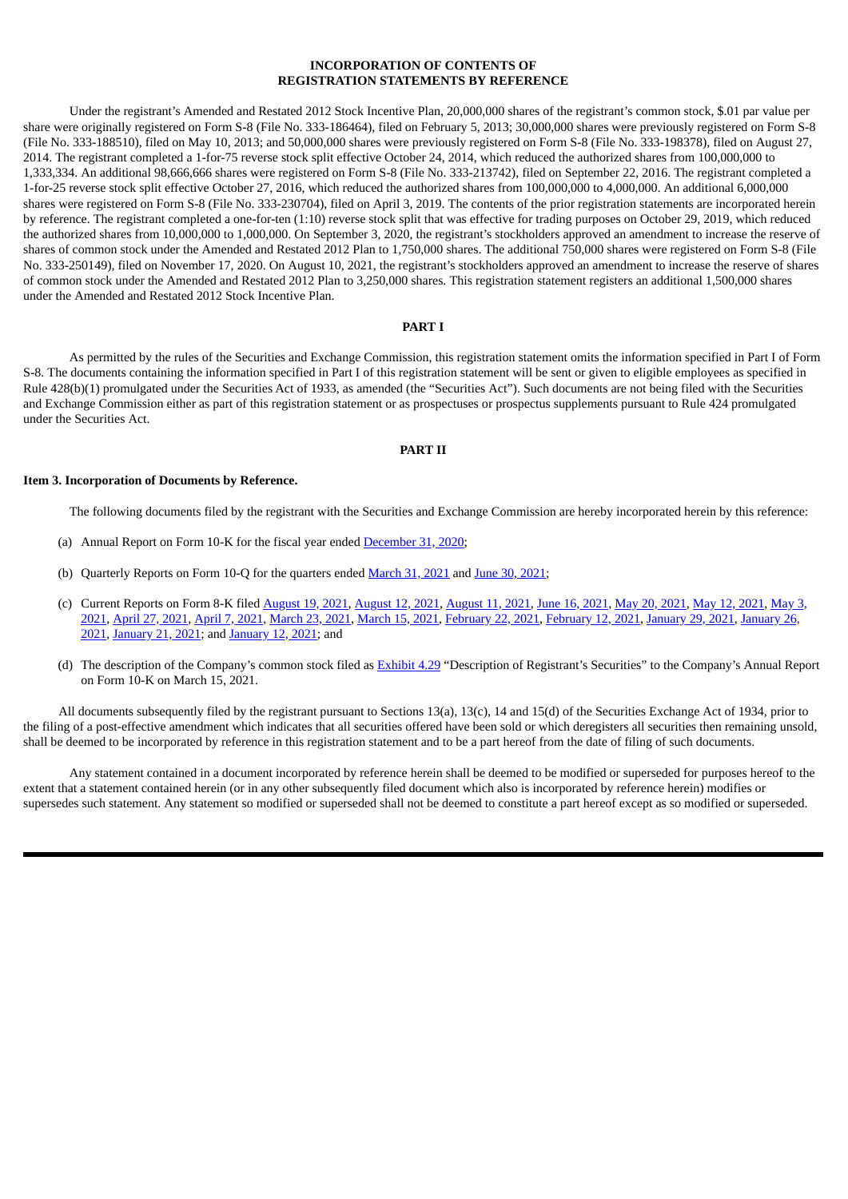## **INCORPORATION OF CONTENTS OF REGISTRATION STATEMENTS BY REFERENCE**

Under the registrant's Amended and Restated 2012 Stock Incentive Plan, 20,000,000 shares of the registrant's common stock, \$.01 par value per share were originally registered on Form S-8 (File No. 333-186464), filed on February 5, 2013; 30,000,000 shares were previously registered on Form S-8 (File No. 333-188510), filed on May 10, 2013; and 50,000,000 shares were previously registered on Form S-8 (File No. 333-198378), filed on August 27, 2014. The registrant completed a 1-for-75 reverse stock split effective October 24, 2014, which reduced the authorized shares from 100,000,000 to 1,333,334. An additional 98,666,666 shares were registered on Form S-8 (File No. 333-213742), filed on September 22, 2016. The registrant completed a 1-for-25 reverse stock split effective October 27, 2016, which reduced the authorized shares from 100,000,000 to 4,000,000. An additional 6,000,000 shares were registered on Form S-8 (File No. 333-230704), filed on April 3, 2019. The contents of the prior registration statements are incorporated herein by reference. The registrant completed a one-for-ten (1:10) reverse stock split that was effective for trading purposes on October 29, 2019, which reduced the authorized shares from 10,000,000 to 1,000,000. On September 3, 2020, the registrant's stockholders approved an amendment to increase the reserve of shares of common stock under the Amended and Restated 2012 Plan to 1,750,000 shares. The additional 750,000 shares were registered on Form S-8 (File No. 333-250149), filed on November 17, 2020. On August 10, 2021, the registrant's stockholders approved an amendment to increase the reserve of shares of common stock under the Amended and Restated 2012 Plan to 3,250,000 shares. This registration statement registers an additional 1,500,000 shares under the Amended and Restated 2012 Stock Incentive Plan.

#### **PART I**

As permitted by the rules of the Securities and Exchange Commission, this registration statement omits the information specified in Part I of Form S-8. The documents containing the information specified in Part I of this registration statement will be sent or given to eligible employees as specified in Rule 428(b)(1) promulgated under the Securities Act of 1933, as amended (the "Securities Act"). Such documents are not being filed with the Securities and Exchange Commission either as part of this registration statement or as prospectuses or prospectus supplements pursuant to Rule 424 promulgated under the Securities Act.

## **PART II**

#### **Item 3. Incorporation of Documents by Reference.**

The following documents filed by the registrant with the Securities and Exchange Commission are hereby incorporated herein by this reference:

- (a) Annual Report on Form 10-K for the fiscal year ended [December](https://www.sec.gov/Archives/edgar/data/0001446159/000117184321001786/0001171843-21-001786-index.htm) 31, 2020;
- (b) Quarterly Reports on Form 10-Q for the quarters ended [March](https://www.sec.gov/Archives/edgar/data/1446159/000117184321003444/f10q_051221p.htm) 31, 2021 and June 30, [2021;](https://www.sec.gov/ix?doc=/Archives/edgar/data/1446159/000117184321005844/poai20210630_10q.htm)
- (c) Current Reports on Form 8-K filed [August](https://www.sec.gov/ix?doc=/Archives/edgar/data/1446159/000117184321006043/f8k_081821.htm) 19, 2021, [August](https://www.sec.gov/ix?doc=/Archives/edgar/data/1446159/000117184321005906/f8k_081221.htm) 12, 2021, [August](https://www.sec.gov/ix?doc=/Archives/edgar/data/1446159/000117184321005846/f8k_081121.htm) 11, 2021, June 16, [2021](https://www.sec.gov/Archives/edgar/data/1446159/000117184321004367/f8k_061521.htm), May 20, [2021](https://www.sec.gov/Archives/edgar/data/1446159/000117184321003682/f8k_052021.htm), May 12, [2021,](https://www.sec.gov/Archives/edgar/data/1446159/000117184321003445/f8k_051221.htm) May 3, 2021, [April](https://www.sec.gov/Archives/edgar/data/1446159/000117184321002786/f8k_042721.htm) 27, 2021, [April](https://www.sec.gov/Archives/edgar/data/1446159/000117184321002371/f8k_040721.htm) 7, 2021, [March](https://www.sec.gov/Archives/edgar/data/1446159/000117184321001981/f8k_032221.htm) 23, 2021, [March](https://www.sec.gov/Archives/edgar/data/1446159/000117184321001789/f8k_031321.htm) 15, 2021, [February](https://www.sec.gov/Archives/edgar/data/1446159/000117184321003059/f8k_050321.htm) 22, 2021, [February](https://www.sec.gov/Archives/edgar/data/1446159/000117184321001014/f8k_021221.htm) 12, 2021, [January](https://www.sec.gov/Archives/edgar/data/0001446159/000117184321000605/0001171843-21-000605-index.htm) 29, 2021, January 26, 2021, [January](https://www.sec.gov/Archives/edgar/data/0001446159/000117184321000374/0001171843-21-000374-index.htm) 21, 2021; and [January](https://www.sec.gov/Archives/edgar/data/1446159/000117184321000230/f8k_011221.htm) 12, 2021; and
- (d) The description of the Company's common stock filed as [Exhibit](https://www.sec.gov/Archives/edgar/data/1446159/000117184321001786/exh_429.htm) 4.29 "Description of Registrant's Securities" to the Company's Annual Report on Form 10-K on March 15, 2021.

All documents subsequently filed by the registrant pursuant to Sections 13(a), 13(c), 14 and 15(d) of the Securities Exchange Act of 1934, prior to the filing of a post-effective amendment which indicates that all securities offered have been sold or which deregisters all securities then remaining unsold, shall be deemed to be incorporated by reference in this registration statement and to be a part hereof from the date of filing of such documents.

Any statement contained in a document incorporated by reference herein shall be deemed to be modified or superseded for purposes hereof to the extent that a statement contained herein (or in any other subsequently filed document which also is incorporated by reference herein) modifies or supersedes such statement. Any statement so modified or superseded shall not be deemed to constitute a part hereof except as so modified or superseded.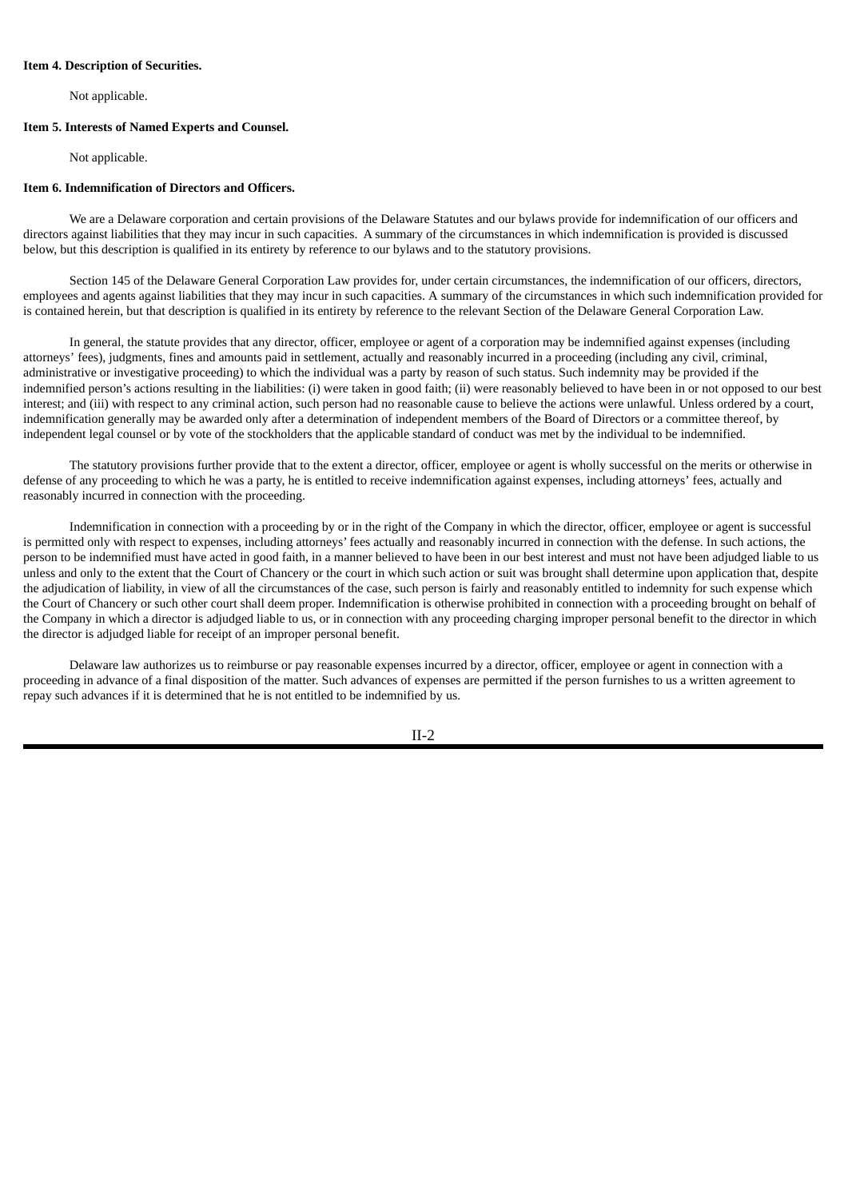#### **Item 4. Description of Securities.**

Not applicable.

### **Item 5. Interests of Named Experts and Counsel.**

Not applicable.

### **Item 6. Indemnification of Directors and Officers.**

We are a Delaware corporation and certain provisions of the Delaware Statutes and our bylaws provide for indemnification of our officers and directors against liabilities that they may incur in such capacities. A summary of the circumstances in which indemnification is provided is discussed below, but this description is qualified in its entirety by reference to our bylaws and to the statutory provisions.

Section 145 of the Delaware General Corporation Law provides for, under certain circumstances, the indemnification of our officers, directors, employees and agents against liabilities that they may incur in such capacities. A summary of the circumstances in which such indemnification provided for is contained herein, but that description is qualified in its entirety by reference to the relevant Section of the Delaware General Corporation Law.

In general, the statute provides that any director, officer, employee or agent of a corporation may be indemnified against expenses (including attorneys' fees), judgments, fines and amounts paid in settlement, actually and reasonably incurred in a proceeding (including any civil, criminal, administrative or investigative proceeding) to which the individual was a party by reason of such status. Such indemnity may be provided if the indemnified person's actions resulting in the liabilities: (i) were taken in good faith; (ii) were reasonably believed to have been in or not opposed to our best interest; and (iii) with respect to any criminal action, such person had no reasonable cause to believe the actions were unlawful. Unless ordered by a court, indemnification generally may be awarded only after a determination of independent members of the Board of Directors or a committee thereof, by independent legal counsel or by vote of the stockholders that the applicable standard of conduct was met by the individual to be indemnified.

The statutory provisions further provide that to the extent a director, officer, employee or agent is wholly successful on the merits or otherwise in defense of any proceeding to which he was a party, he is entitled to receive indemnification against expenses, including attorneys' fees, actually and reasonably incurred in connection with the proceeding.

Indemnification in connection with a proceeding by or in the right of the Company in which the director, officer, employee or agent is successful is permitted only with respect to expenses, including attorneys' fees actually and reasonably incurred in connection with the defense. In such actions, the person to be indemnified must have acted in good faith, in a manner believed to have been in our best interest and must not have been adjudged liable to us unless and only to the extent that the Court of Chancery or the court in which such action or suit was brought shall determine upon application that, despite the adjudication of liability, in view of all the circumstances of the case, such person is fairly and reasonably entitled to indemnity for such expense which the Court of Chancery or such other court shall deem proper. Indemnification is otherwise prohibited in connection with a proceeding brought on behalf of the Company in which a director is adjudged liable to us, or in connection with any proceeding charging improper personal benefit to the director in which the director is adjudged liable for receipt of an improper personal benefit.

Delaware law authorizes us to reimburse or pay reasonable expenses incurred by a director, officer, employee or agent in connection with a proceeding in advance of a final disposition of the matter. Such advances of expenses are permitted if the person furnishes to us a written agreement to repay such advances if it is determined that he is not entitled to be indemnified by us.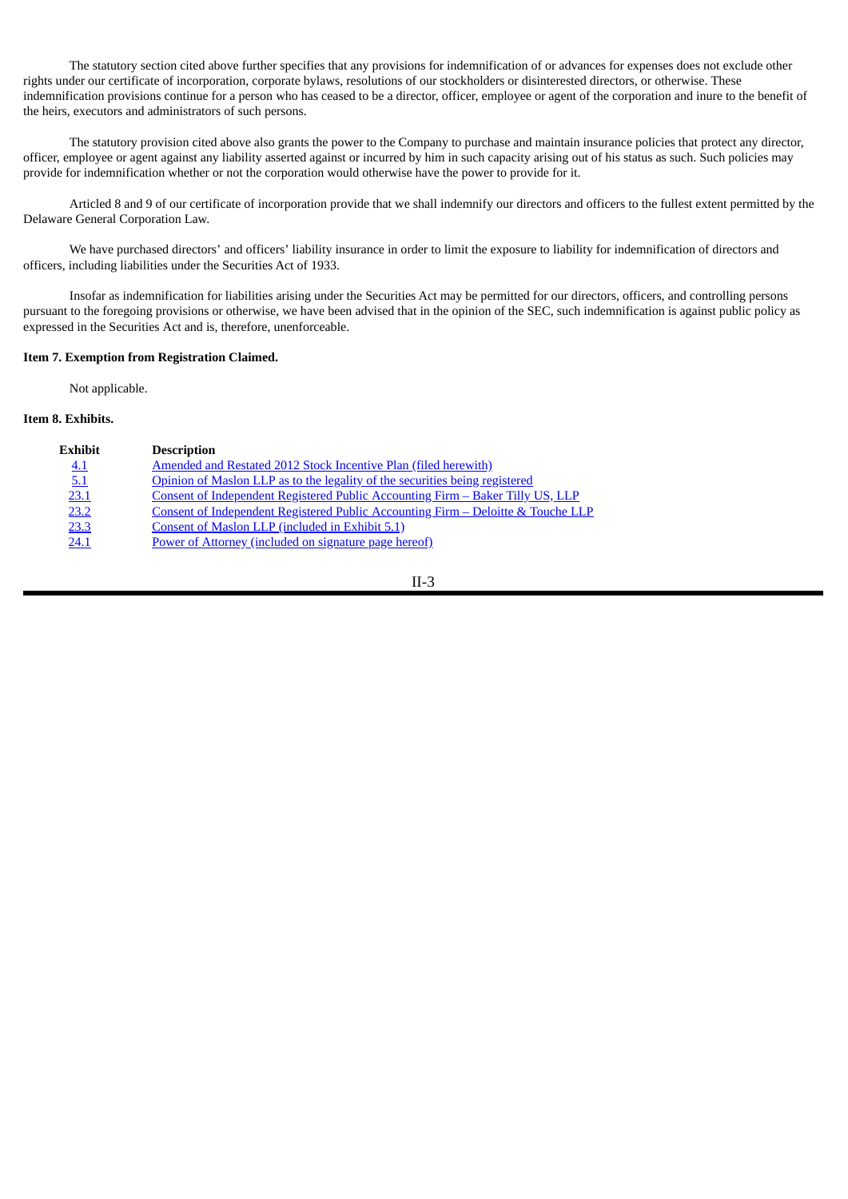The statutory section cited above further specifies that any provisions for indemnification of or advances for expenses does not exclude other rights under our certificate of incorporation, corporate bylaws, resolutions of our stockholders or disinterested directors, or otherwise. These indemnification provisions continue for a person who has ceased to be a director, officer, employee or agent of the corporation and inure to the benefit of the heirs, executors and administrators of such persons.

The statutory provision cited above also grants the power to the Company to purchase and maintain insurance policies that protect any director, officer, employee or agent against any liability asserted against or incurred by him in such capacity arising out of his status as such. Such policies may provide for indemnification whether or not the corporation would otherwise have the power to provide for it.

Articled 8 and 9 of our certificate of incorporation provide that we shall indemnify our directors and officers to the fullest extent permitted by the Delaware General Corporation Law.

We have purchased directors' and officers' liability insurance in order to limit the exposure to liability for indemnification of directors and officers, including liabilities under the Securities Act of 1933.

Insofar as indemnification for liabilities arising under the Securities Act may be permitted for our directors, officers, and controlling persons pursuant to the foregoing provisions or otherwise, we have been advised that in the opinion of the SEC, such indemnification is against public policy as expressed in the Securities Act and is, therefore, unenforceable.

### **Item 7. Exemption from Registration Claimed.**

Not applicable.

### **Item 8. Exhibits.**

| <b>Exhibit</b> | <b>Description</b>                                                                    |
|----------------|---------------------------------------------------------------------------------------|
| 4.1            | Amended and Restated 2012 Stock Incentive Plan (filed herewith)                       |
| 5.1            | Opinion of Maslon LLP as to the legality of the securities being registered           |
| 23.1           | <u>Consent of Independent Registered Public Accounting Firm – Baker Tilly US, LLP</u> |
| 23.2           | Consent of Independent Registered Public Accounting Firm – Deloitte & Touche LLP      |
| 23.3           | Consent of Maslon LLP (included in Exhibit 5.1)                                       |
| 24.1           | Power of Attorney (included on signature page hereof)                                 |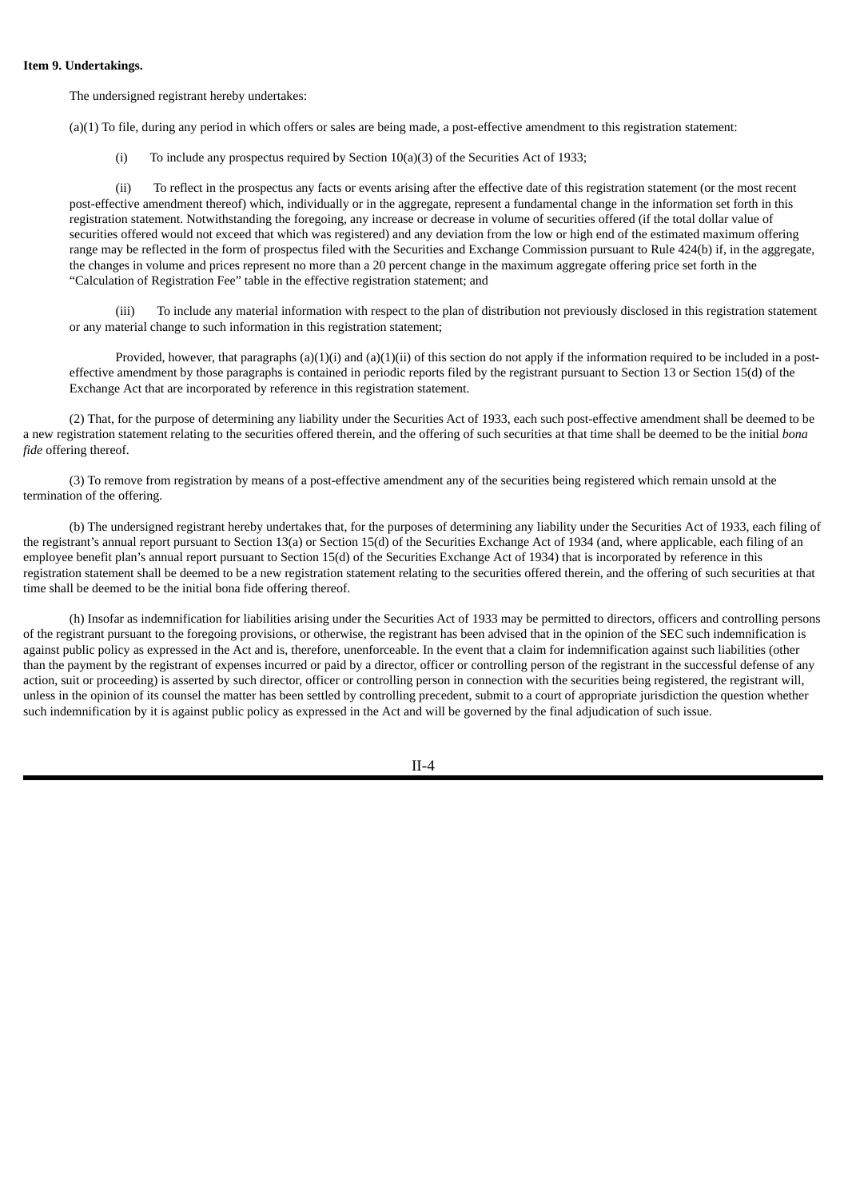#### **Item 9. Undertakings.**

The undersigned registrant hereby undertakes:

(a)(1) To file, during any period in which offers or sales are being made, a post-effective amendment to this registration statement:

(i) To include any prospectus required by Section 10(a)(3) of the Securities Act of 1933;

(ii) To reflect in the prospectus any facts or events arising after the effective date of this registration statement (or the most recent post-effective amendment thereof) which, individually or in the aggregate, represent a fundamental change in the information set forth in this registration statement. Notwithstanding the foregoing, any increase or decrease in volume of securities offered (if the total dollar value of securities offered would not exceed that which was registered) and any deviation from the low or high end of the estimated maximum offering range may be reflected in the form of prospectus filed with the Securities and Exchange Commission pursuant to Rule 424(b) if, in the aggregate, the changes in volume and prices represent no more than a 20 percent change in the maximum aggregate offering price set forth in the "Calculation of Registration Fee" table in the effective registration statement; and

(iii) To include any material information with respect to the plan of distribution not previously disclosed in this registration statement or any material change to such information in this registration statement;

Provided, however, that paragraphs (a)(1)(i) and (a)(1)(ii) of this section do not apply if the information required to be included in a posteffective amendment by those paragraphs is contained in periodic reports filed by the registrant pursuant to Section 13 or Section 15(d) of the Exchange Act that are incorporated by reference in this registration statement.

(2) That, for the purpose of determining any liability under the Securities Act of 1933, each such post-effective amendment shall be deemed to be a new registration statement relating to the securities offered therein, and the offering of such securities at that time shall be deemed to be the initial *bona fide* offering thereof.

(3) To remove from registration by means of a post-effective amendment any of the securities being registered which remain unsold at the termination of the offering.

(b) The undersigned registrant hereby undertakes that, for the purposes of determining any liability under the Securities Act of 1933, each filing of the registrant's annual report pursuant to Section 13(a) or Section 15(d) of the Securities Exchange Act of 1934 (and, where applicable, each filing of an employee benefit plan's annual report pursuant to Section 15(d) of the Securities Exchange Act of 1934) that is incorporated by reference in this registration statement shall be deemed to be a new registration statement relating to the securities offered therein, and the offering of such securities at that time shall be deemed to be the initial bona fide offering thereof.

(h) Insofar as indemnification for liabilities arising under the Securities Act of 1933 may be permitted to directors, officers and controlling persons of the registrant pursuant to the foregoing provisions, or otherwise, the registrant has been advised that in the opinion of the SEC such indemnification is against public policy as expressed in the Act and is, therefore, unenforceable. In the event that a claim for indemnification against such liabilities (other than the payment by the registrant of expenses incurred or paid by a director, officer or controlling person of the registrant in the successful defense of any action, suit or proceeding) is asserted by such director, officer or controlling person in connection with the securities being registered, the registrant will, unless in the opinion of its counsel the matter has been settled by controlling precedent, submit to a court of appropriate jurisdiction the question whether such indemnification by it is against public policy as expressed in the Act and will be governed by the final adjudication of such issue.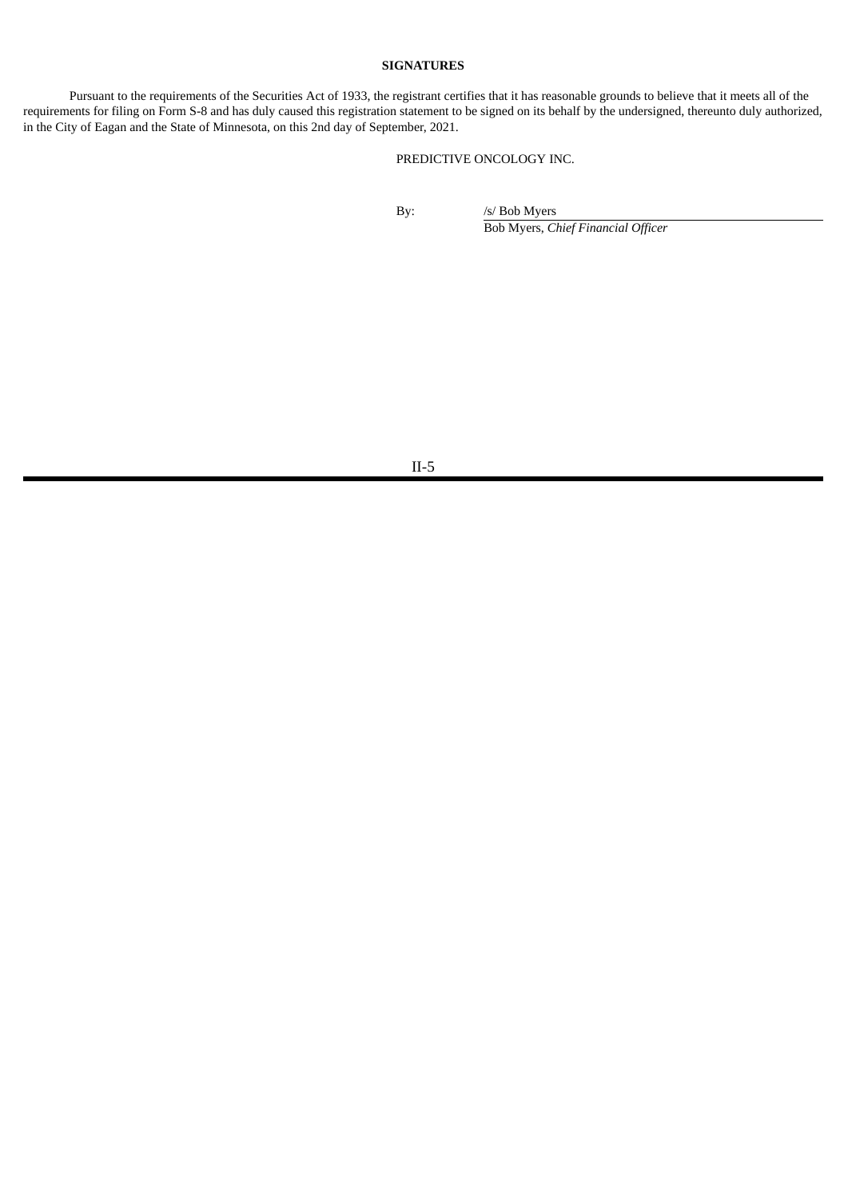## **SIGNATURES**

Pursuant to the requirements of the Securities Act of 1933, the registrant certifies that it has reasonable grounds to believe that it meets all of the requirements for filing on Form S-8 and has duly caused this registration statement to be signed on its behalf by the undersigned, thereunto duly authorized, in the City of Eagan and the State of Minnesota, on this 2nd day of September, 2021.

# PREDICTIVE ONCOLOGY INC.

By: /s/ Bob Myers Bob Myers, *Chief Financial Officer*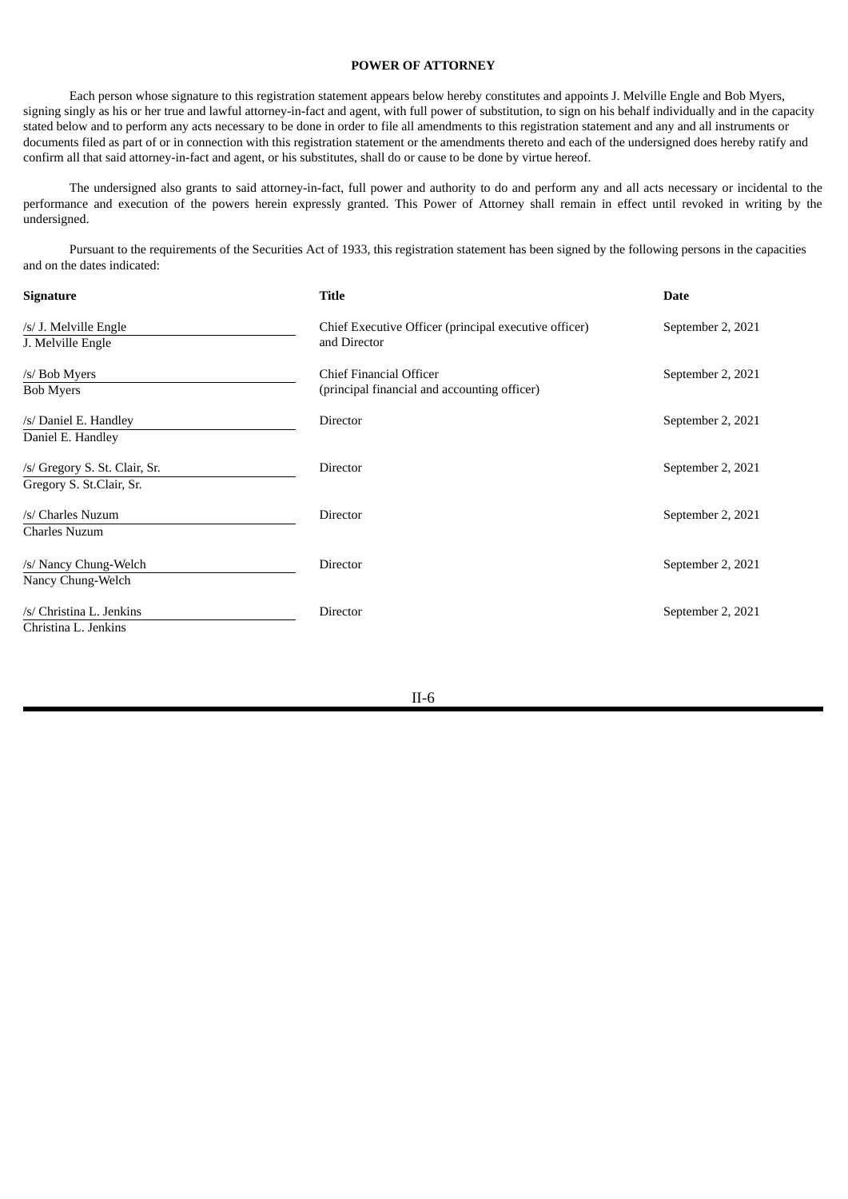## **POWER OF ATTORNEY**

<span id="page-7-0"></span>Each person whose signature to this registration statement appears below hereby constitutes and appoints J. Melville Engle and Bob Myers, signing singly as his or her true and lawful attorney-in-fact and agent, with full power of substitution, to sign on his behalf individually and in the capacity stated below and to perform any acts necessary to be done in order to file all amendments to this registration statement and any and all instruments or documents filed as part of or in connection with this registration statement or the amendments thereto and each of the undersigned does hereby ratify and confirm all that said attorney-in-fact and agent, or his substitutes, shall do or cause to be done by virtue hereof.

The undersigned also grants to said attorney-in-fact, full power and authority to do and perform any and all acts necessary or incidental to the performance and execution of the powers herein expressly granted. This Power of Attorney shall remain in effect until revoked in writing by the undersigned.

Pursuant to the requirements of the Securities Act of 1933, this registration statement has been signed by the following persons in the capacities and on the dates indicated:

| <b>Signature</b>                                          | <b>Title</b>                                                            | <b>Date</b>       |
|-----------------------------------------------------------|-------------------------------------------------------------------------|-------------------|
| /s/ J. Melville Engle<br>J. Melville Engle                | Chief Executive Officer (principal executive officer)<br>and Director   | September 2, 2021 |
| /s/ Bob Myers<br><b>Bob Myers</b>                         | Chief Financial Officer<br>(principal financial and accounting officer) | September 2, 2021 |
| /s/ Daniel E. Handley<br>Daniel E. Handley                | Director                                                                | September 2, 2021 |
| /s/ Gregory S. St. Clair, Sr.<br>Gregory S. St.Clair, Sr. | Director                                                                | September 2, 2021 |
| /s/ Charles Nuzum<br><b>Charles Nuzum</b>                 | Director                                                                | September 2, 2021 |
| /s/ Nancy Chung-Welch<br>Nancy Chung-Welch                | Director                                                                | September 2, 2021 |
| /s/ Christina L. Jenkins<br>Christina L. Jenkins          | Director                                                                | September 2, 2021 |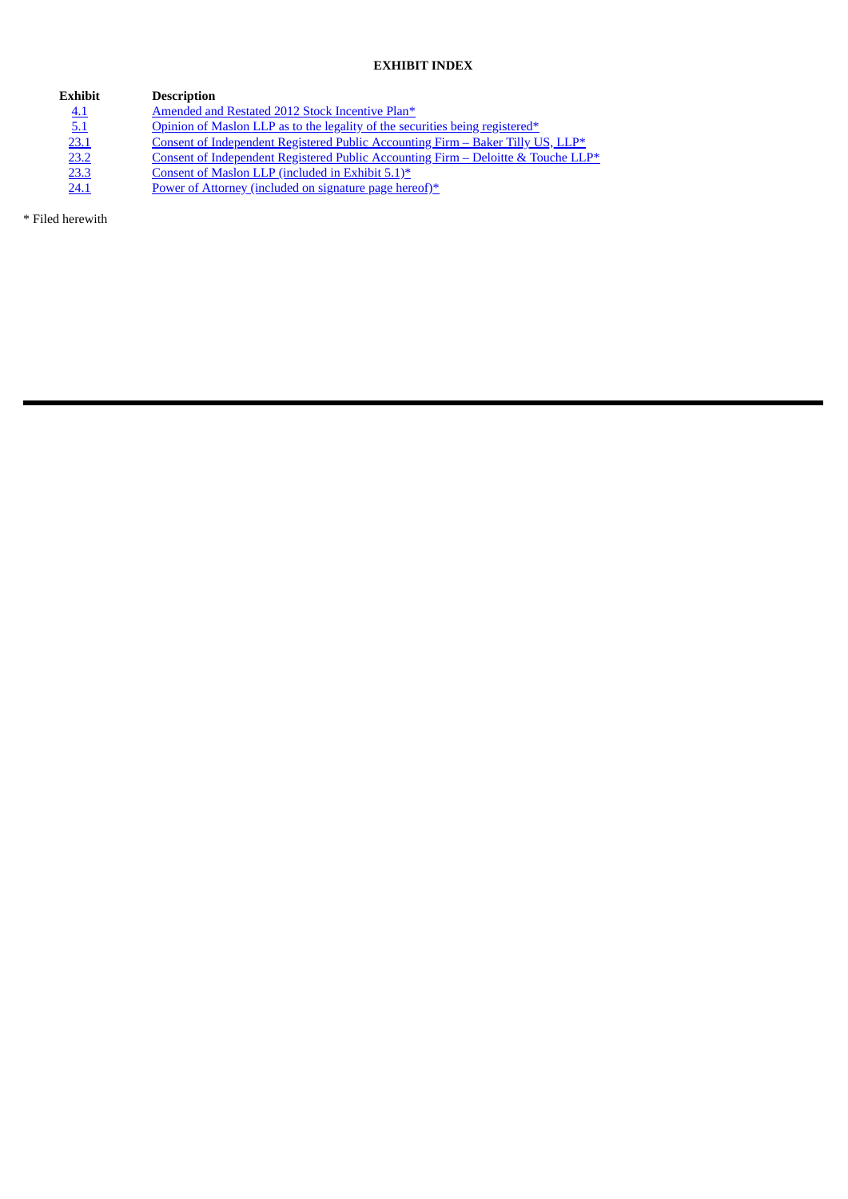# **EXHIBIT INDEX**

| Exhibit | <b>Description</b>                                                                |
|---------|-----------------------------------------------------------------------------------|
| 4.1     | Amended and Restated 2012 Stock Incentive Plan*                                   |
| 5.1     | Opinion of Maslon LLP as to the legality of the securities being registered*      |
| 23.1    | Consent of Independent Registered Public Accounting Firm - Baker Tilly US, LLP*   |
| 23.2    | Consent of Independent Registered Public Accounting Firm - Deloitte & Touche LLP* |
| 23.3    | Consent of Maslon LLP (included in Exhibit 5.1)*                                  |
| 24.1    | Power of Attorney (included on signature page hereof)*                            |

\* Filed herewith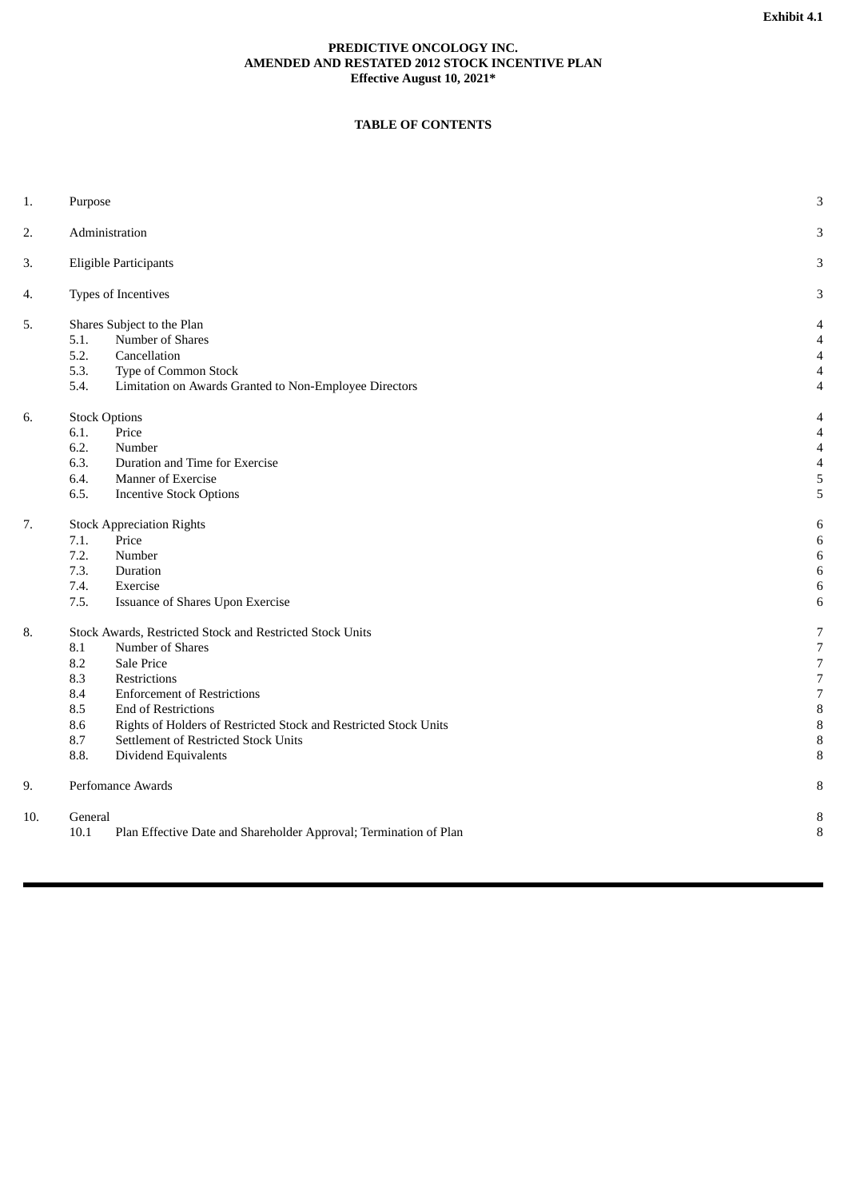## **PREDICTIVE ONCOLOGY INC. AMENDED AND RESTATED 2012 STOCK INCENTIVE PLAN Effective August 10, 2021\***

# **TABLE OF CONTENTS**

<span id="page-9-0"></span>

| 1.  | Purpose                                                                                                                                                                                                                                                                                                                                                               | $\ensuremath{\mathsf{3}}$                                                                            |
|-----|-----------------------------------------------------------------------------------------------------------------------------------------------------------------------------------------------------------------------------------------------------------------------------------------------------------------------------------------------------------------------|------------------------------------------------------------------------------------------------------|
| 2.  | Administration                                                                                                                                                                                                                                                                                                                                                        | 3                                                                                                    |
| 3.  | <b>Eligible Participants</b>                                                                                                                                                                                                                                                                                                                                          | 3                                                                                                    |
| 4.  | Types of Incentives                                                                                                                                                                                                                                                                                                                                                   | 3                                                                                                    |
| 5.  | Shares Subject to the Plan<br>5.1.<br>Number of Shares<br>5.2.<br>Cancellation<br>5.3.<br>Type of Common Stock<br>5.4.<br>Limitation on Awards Granted to Non-Employee Directors                                                                                                                                                                                      | $\overline{4}$<br>4<br>4<br>$\overline{4}$<br>$\overline{4}$                                         |
| 6.  | <b>Stock Options</b><br>Price<br>6.1.<br>6.2.<br>Number<br>6.3.<br>Duration and Time for Exercise<br>6.4.<br><b>Manner of Exercise</b><br>6.5.<br><b>Incentive Stock Options</b>                                                                                                                                                                                      | 4<br>$\overline{4}$<br>$\overline{4}$<br>$\overline{\mathcal{A}}$<br>5<br>5                          |
| 7.  | <b>Stock Appreciation Rights</b><br>7.1.<br>Price<br>7.2.<br>Number<br>7.3.<br>Duration<br>7.4.<br>Exercise<br>7.5.<br>Issuance of Shares Upon Exercise                                                                                                                                                                                                               | 6<br>6<br>6<br>6<br>6<br>6                                                                           |
| 8.  | Stock Awards, Restricted Stock and Restricted Stock Units<br>8.1<br>Number of Shares<br>8.2<br>Sale Price<br>8.3<br>Restrictions<br>8.4<br><b>Enforcement of Restrictions</b><br>8.5<br>End of Restrictions<br>8.6<br>Rights of Holders of Restricted Stock and Restricted Stock Units<br>8.7<br>Settlement of Restricted Stock Units<br>8.8.<br>Dividend Equivalents | $\overline{7}$<br>$\overline{7}$<br>7<br>$\boldsymbol{7}$<br>$\overline{7}$<br>8<br>$\, 8$<br>8<br>8 |
| 9.  | Perfomance Awards                                                                                                                                                                                                                                                                                                                                                     | 8                                                                                                    |
| 10. | General<br>Plan Effective Date and Shareholder Approval; Termination of Plan<br>10.1                                                                                                                                                                                                                                                                                  | 8<br>8                                                                                               |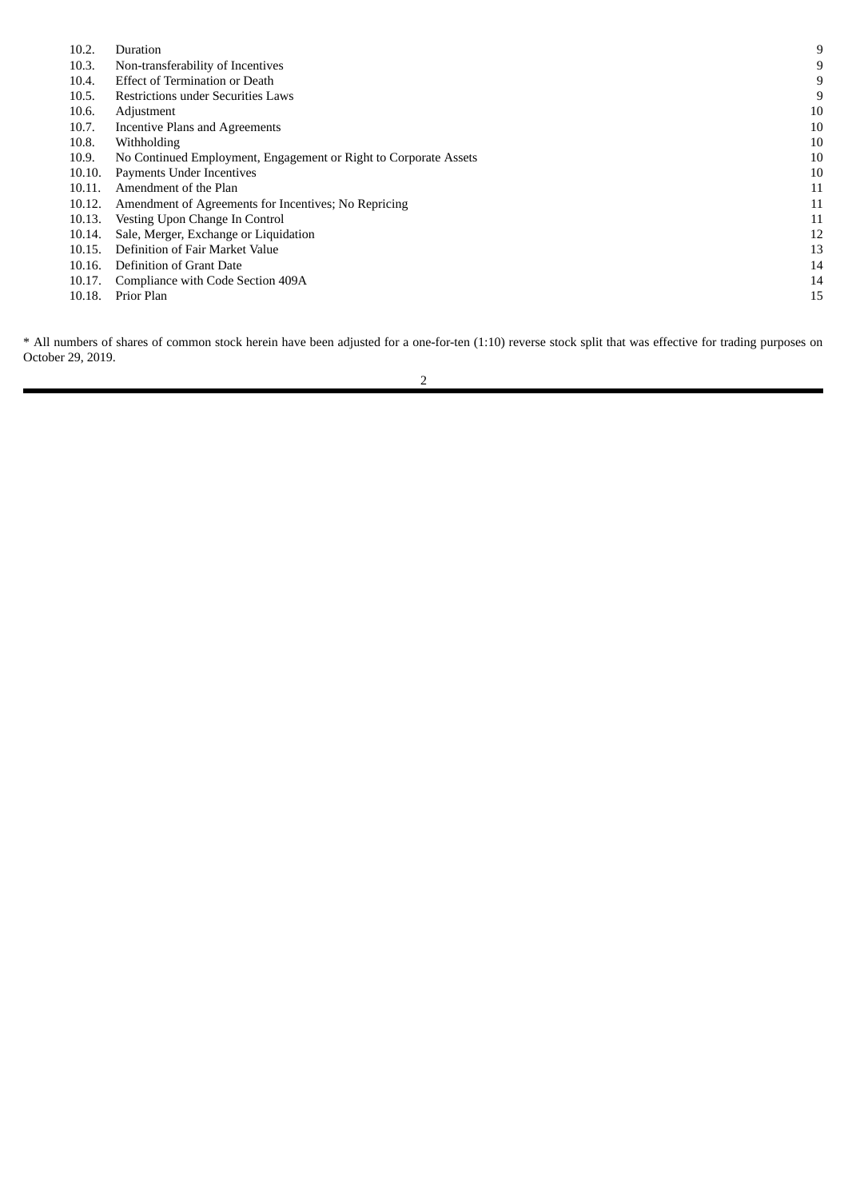| 10.2.  | Duration                                                         | 9  |
|--------|------------------------------------------------------------------|----|
| 10.3.  | Non-transferability of Incentives                                | 9  |
| 10.4.  | <b>Effect of Termination or Death</b>                            | 9  |
| 10.5.  | Restrictions under Securities Laws                               | 9  |
| 10.6.  | Adjustment                                                       | 10 |
| 10.7.  | Incentive Plans and Agreements                                   | 10 |
| 10.8.  | Withholding                                                      | 10 |
| 10.9.  | No Continued Employment, Engagement or Right to Corporate Assets | 10 |
| 10.10. | Payments Under Incentives                                        | 10 |
| 10.11. | Amendment of the Plan                                            | 11 |
| 10.12. | Amendment of Agreements for Incentives; No Repricing             | 11 |
| 10.13. | Vesting Upon Change In Control                                   | 11 |
| 10.14. | Sale, Merger, Exchange or Liquidation                            | 12 |
| 10.15. | Definition of Fair Market Value                                  | 13 |
| 10.16. | Definition of Grant Date                                         | 14 |
| 10.17. | Compliance with Code Section 409A                                | 14 |
| 10.18. | Prior Plan                                                       | 15 |
|        |                                                                  |    |

\* All numbers of shares of common stock herein have been adjusted for a one-for-ten (1:10) reverse stock split that was effective for trading purposes on October 29, 2019.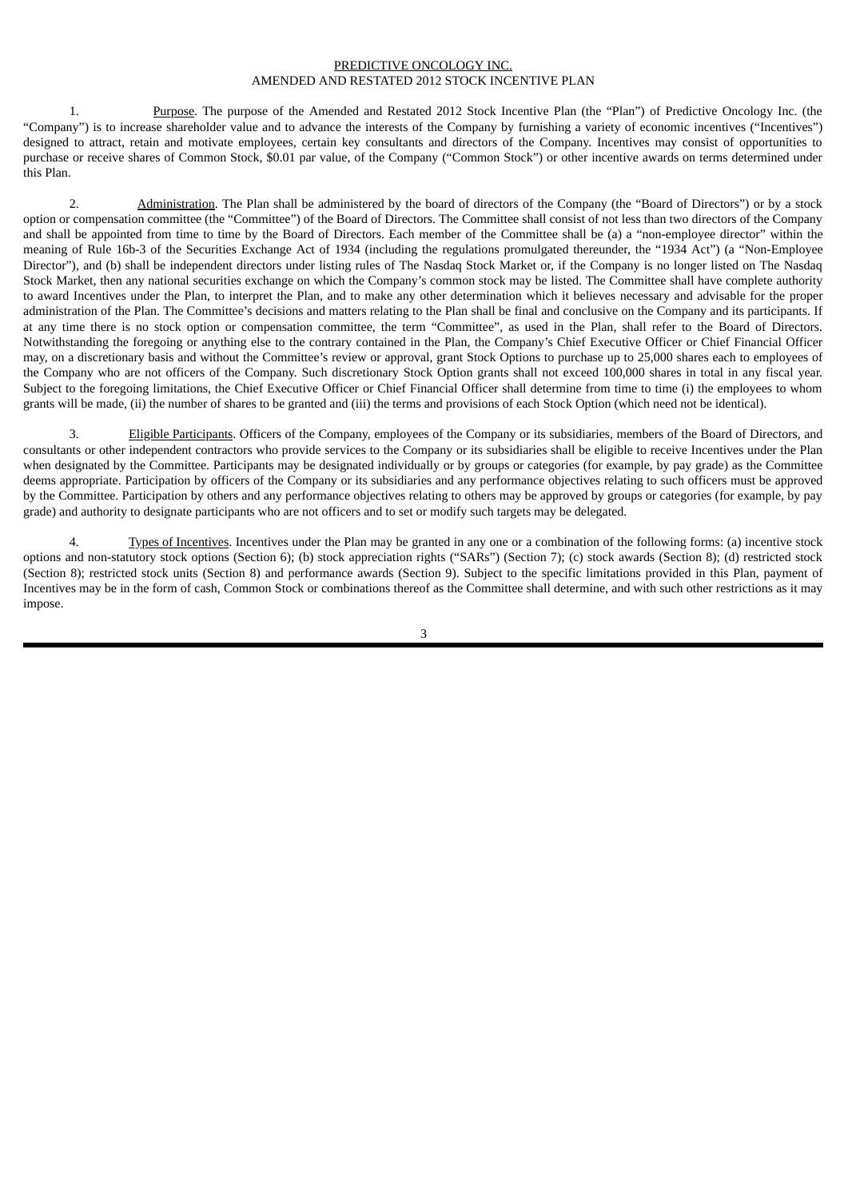## PREDICTIVE ONCOLOGY INC. AMENDED AND RESTATED 2012 STOCK INCENTIVE PLAN

1. Purpose. The purpose of the Amended and Restated 2012 Stock Incentive Plan (the "Plan") of Predictive Oncology Inc. (the "Company") is to increase shareholder value and to advance the interests of the Company by furnishing a variety of economic incentives ("Incentives") designed to attract, retain and motivate employees, certain key consultants and directors of the Company. Incentives may consist of opportunities to purchase or receive shares of Common Stock, \$0.01 par value, of the Company ("Common Stock") or other incentive awards on terms determined under this Plan.

2. Administration. The Plan shall be administered by the board of directors of the Company (the "Board of Directors") or by a stock option or compensation committee (the "Committee") of the Board of Directors. The Committee shall consist of not less than two directors of the Company and shall be appointed from time to time by the Board of Directors. Each member of the Committee shall be (a) a "non-employee director" within the meaning of Rule 16b-3 of the Securities Exchange Act of 1934 (including the regulations promulgated thereunder, the "1934 Act") (a "Non-Employee Director"), and (b) shall be independent directors under listing rules of The Nasdaq Stock Market or, if the Company is no longer listed on The Nasdaq Stock Market, then any national securities exchange on which the Company's common stock may be listed. The Committee shall have complete authority to award Incentives under the Plan, to interpret the Plan, and to make any other determination which it believes necessary and advisable for the proper administration of the Plan. The Committee's decisions and matters relating to the Plan shall be final and conclusive on the Company and its participants. If at any time there is no stock option or compensation committee, the term "Committee", as used in the Plan, shall refer to the Board of Directors. Notwithstanding the foregoing or anything else to the contrary contained in the Plan, the Company's Chief Executive Officer or Chief Financial Officer may, on a discretionary basis and without the Committee's review or approval, grant Stock Options to purchase up to 25,000 shares each to employees of the Company who are not officers of the Company. Such discretionary Stock Option grants shall not exceed 100,000 shares in total in any fiscal year. Subject to the foregoing limitations, the Chief Executive Officer or Chief Financial Officer shall determine from time to time (i) the employees to whom grants will be made, (ii) the number of shares to be granted and (iii) the terms and provisions of each Stock Option (which need not be identical).

3. Eligible Participants. Officers of the Company, employees of the Company or its subsidiaries, members of the Board of Directors, and consultants or other independent contractors who provide services to the Company or its subsidiaries shall be eligible to receive Incentives under the Plan when designated by the Committee. Participants may be designated individually or by groups or categories (for example, by pay grade) as the Committee deems appropriate. Participation by officers of the Company or its subsidiaries and any performance objectives relating to such officers must be approved by the Committee. Participation by others and any performance objectives relating to others may be approved by groups or categories (for example, by pay grade) and authority to designate participants who are not officers and to set or modify such targets may be delegated.

Types of Incentives. Incentives under the Plan may be granted in any one or a combination of the following forms: (a) incentive stock options and non-statutory stock options (Section 6); (b) stock appreciation rights ("SARs") (Section 7); (c) stock awards (Section 8); (d) restricted stock (Section 8); restricted stock units (Section 8) and performance awards (Section 9). Subject to the specific limitations provided in this Plan, payment of Incentives may be in the form of cash, Common Stock or combinations thereof as the Committee shall determine, and with such other restrictions as it may impose.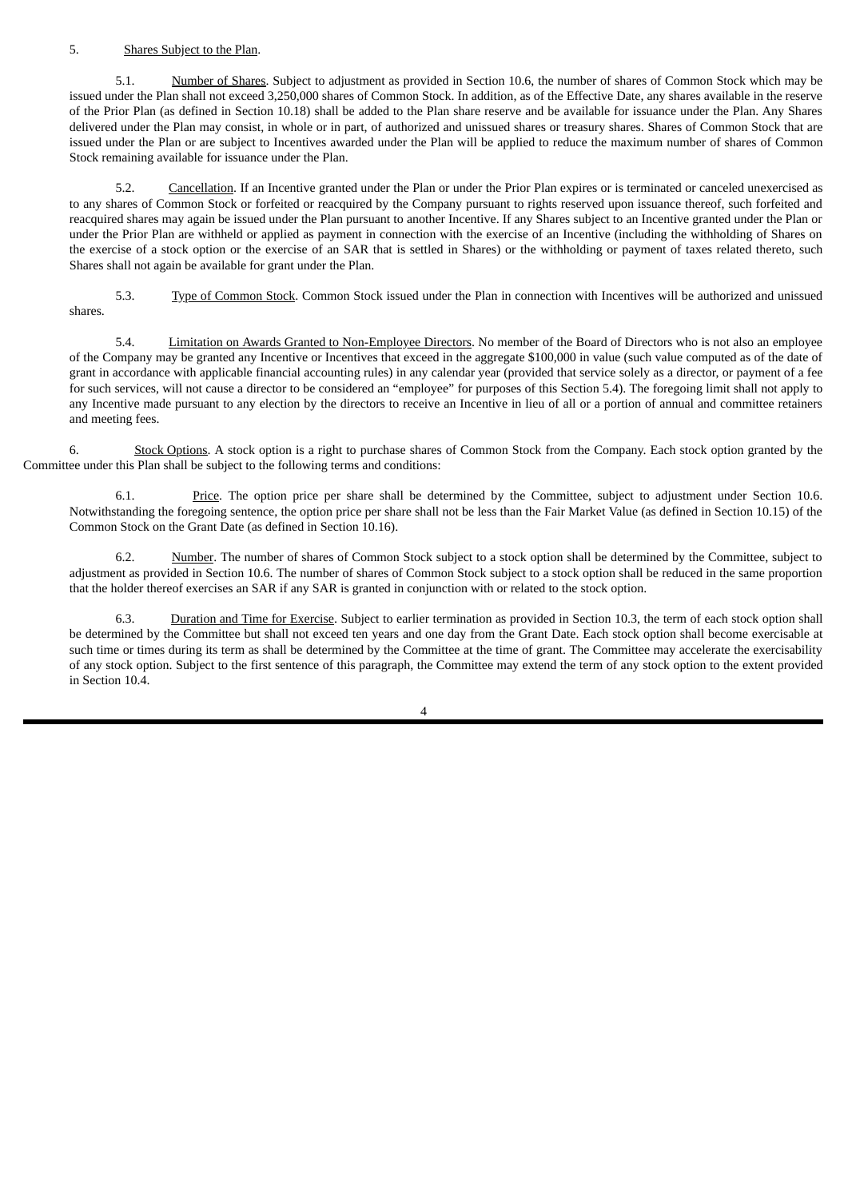## 5. Shares Subject to the Plan.

5.1. Number of Shares. Subject to adjustment as provided in Section 10.6, the number of shares of Common Stock which may be issued under the Plan shall not exceed 3,250,000 shares of Common Stock. In addition, as of the Effective Date, any shares available in the reserve of the Prior Plan (as defined in Section 10.18) shall be added to the Plan share reserve and be available for issuance under the Plan. Any Shares delivered under the Plan may consist, in whole or in part, of authorized and unissued shares or treasury shares. Shares of Common Stock that are issued under the Plan or are subject to Incentives awarded under the Plan will be applied to reduce the maximum number of shares of Common Stock remaining available for issuance under the Plan.

5.2. Cancellation. If an Incentive granted under the Plan or under the Prior Plan expires or is terminated or canceled unexercised as to any shares of Common Stock or forfeited or reacquired by the Company pursuant to rights reserved upon issuance thereof, such forfeited and reacquired shares may again be issued under the Plan pursuant to another Incentive. If any Shares subject to an Incentive granted under the Plan or under the Prior Plan are withheld or applied as payment in connection with the exercise of an Incentive (including the withholding of Shares on the exercise of a stock option or the exercise of an SAR that is settled in Shares) or the withholding or payment of taxes related thereto, such Shares shall not again be available for grant under the Plan.

5.3. Type of Common Stock. Common Stock issued under the Plan in connection with Incentives will be authorized and unissued shares.

5.4. Limitation on Awards Granted to Non-Employee Directors. No member of the Board of Directors who is not also an employee of the Company may be granted any Incentive or Incentives that exceed in the aggregate \$100,000 in value (such value computed as of the date of grant in accordance with applicable financial accounting rules) in any calendar year (provided that service solely as a director, or payment of a fee for such services, will not cause a director to be considered an "employee" for purposes of this Section 5.4). The foregoing limit shall not apply to any Incentive made pursuant to any election by the directors to receive an Incentive in lieu of all or a portion of annual and committee retainers and meeting fees.

6. Stock Options. A stock option is a right to purchase shares of Common Stock from the Company. Each stock option granted by the Committee under this Plan shall be subject to the following terms and conditions:

6.1. Price. The option price per share shall be determined by the Committee, subject to adjustment under Section 10.6. Notwithstanding the foregoing sentence, the option price per share shall not be less than the Fair Market Value (as defined in Section 10.15) of the Common Stock on the Grant Date (as defined in Section 10.16).

6.2. Number. The number of shares of Common Stock subject to a stock option shall be determined by the Committee, subject to adjustment as provided in Section 10.6. The number of shares of Common Stock subject to a stock option shall be reduced in the same proportion that the holder thereof exercises an SAR if any SAR is granted in conjunction with or related to the stock option.

6.3. Duration and Time for Exercise. Subject to earlier termination as provided in Section 10.3, the term of each stock option shall be determined by the Committee but shall not exceed ten years and one day from the Grant Date. Each stock option shall become exercisable at such time or times during its term as shall be determined by the Committee at the time of grant. The Committee may accelerate the exercisability of any stock option. Subject to the first sentence of this paragraph, the Committee may extend the term of any stock option to the extent provided in Section 10.4.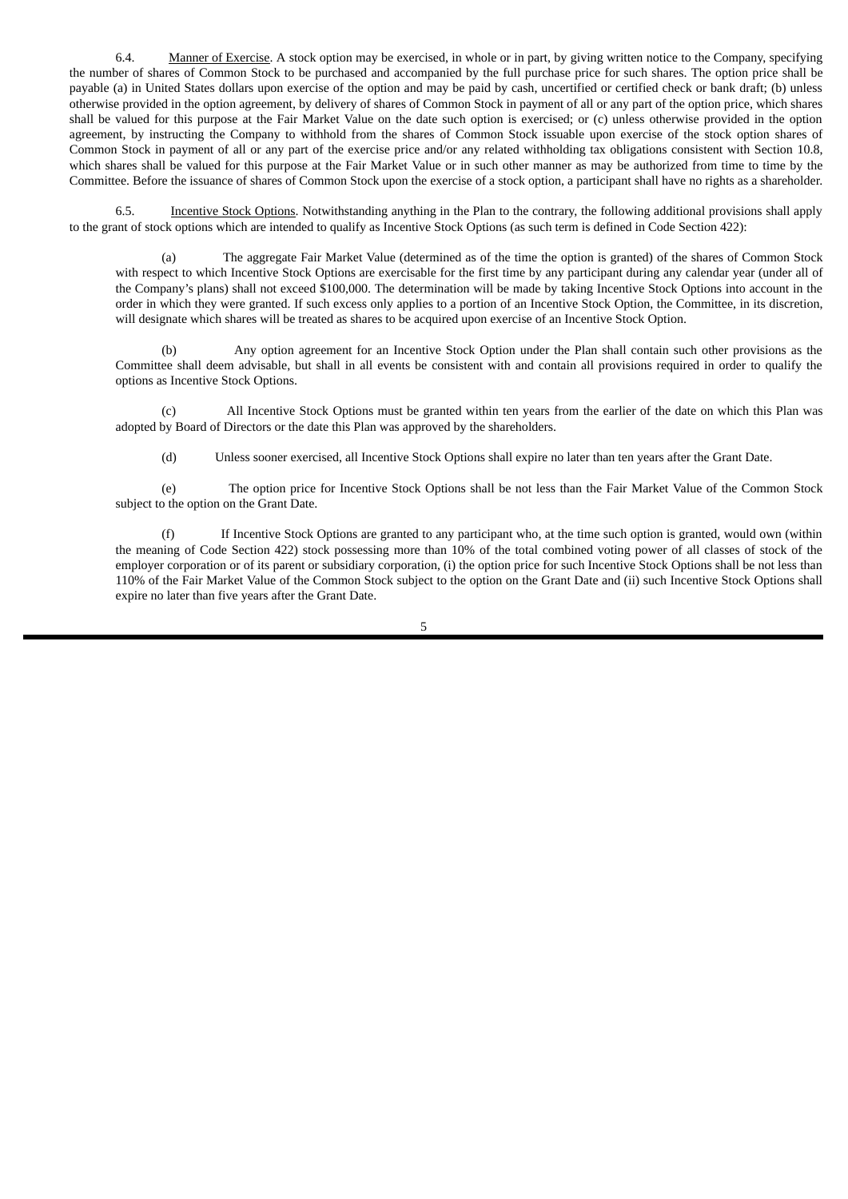6.4. Manner of Exercise. A stock option may be exercised, in whole or in part, by giving written notice to the Company, specifying the number of shares of Common Stock to be purchased and accompanied by the full purchase price for such shares. The option price shall be payable (a) in United States dollars upon exercise of the option and may be paid by cash, uncertified or certified check or bank draft; (b) unless otherwise provided in the option agreement, by delivery of shares of Common Stock in payment of all or any part of the option price, which shares shall be valued for this purpose at the Fair Market Value on the date such option is exercised; or (c) unless otherwise provided in the option agreement, by instructing the Company to withhold from the shares of Common Stock issuable upon exercise of the stock option shares of Common Stock in payment of all or any part of the exercise price and/or any related withholding tax obligations consistent with Section 10.8, which shares shall be valued for this purpose at the Fair Market Value or in such other manner as may be authorized from time to time by the Committee. Before the issuance of shares of Common Stock upon the exercise of a stock option, a participant shall have no rights as a shareholder.

6.5. Incentive Stock Options. Notwithstanding anything in the Plan to the contrary, the following additional provisions shall apply to the grant of stock options which are intended to qualify as Incentive Stock Options (as such term is defined in Code Section 422):

(a) The aggregate Fair Market Value (determined as of the time the option is granted) of the shares of Common Stock with respect to which Incentive Stock Options are exercisable for the first time by any participant during any calendar year (under all of the Company's plans) shall not exceed \$100,000. The determination will be made by taking Incentive Stock Options into account in the order in which they were granted. If such excess only applies to a portion of an Incentive Stock Option, the Committee, in its discretion, will designate which shares will be treated as shares to be acquired upon exercise of an Incentive Stock Option.

Any option agreement for an Incentive Stock Option under the Plan shall contain such other provisions as the Committee shall deem advisable, but shall in all events be consistent with and contain all provisions required in order to qualify the options as Incentive Stock Options.

(c) All Incentive Stock Options must be granted within ten years from the earlier of the date on which this Plan was adopted by Board of Directors or the date this Plan was approved by the shareholders.

(d) Unless sooner exercised, all Incentive Stock Options shall expire no later than ten years after the Grant Date.

(e) The option price for Incentive Stock Options shall be not less than the Fair Market Value of the Common Stock subject to the option on the Grant Date.

If Incentive Stock Options are granted to any participant who, at the time such option is granted, would own (within the meaning of Code Section 422) stock possessing more than 10% of the total combined voting power of all classes of stock of the employer corporation or of its parent or subsidiary corporation, (i) the option price for such Incentive Stock Options shall be not less than 110% of the Fair Market Value of the Common Stock subject to the option on the Grant Date and (ii) such Incentive Stock Options shall expire no later than five years after the Grant Date.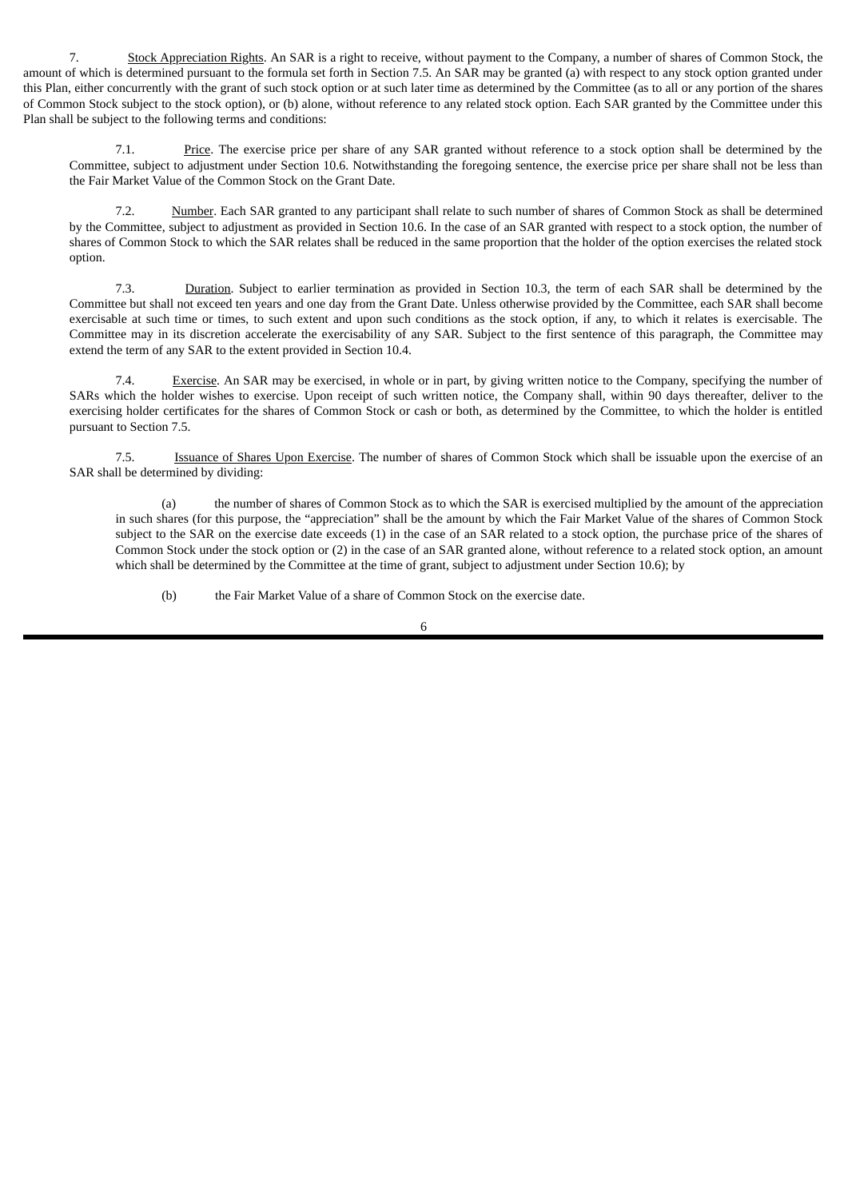7. Stock Appreciation Rights. An SAR is a right to receive, without payment to the Company, a number of shares of Common Stock, the amount of which is determined pursuant to the formula set forth in Section 7.5. An SAR may be granted (a) with respect to any stock option granted under this Plan, either concurrently with the grant of such stock option or at such later time as determined by the Committee (as to all or any portion of the shares of Common Stock subject to the stock option), or (b) alone, without reference to any related stock option. Each SAR granted by the Committee under this Plan shall be subject to the following terms and conditions:

7.1. Price. The exercise price per share of any SAR granted without reference to a stock option shall be determined by the Committee, subject to adjustment under Section 10.6. Notwithstanding the foregoing sentence, the exercise price per share shall not be less than the Fair Market Value of the Common Stock on the Grant Date.

7.2. Number. Each SAR granted to any participant shall relate to such number of shares of Common Stock as shall be determined by the Committee, subject to adjustment as provided in Section 10.6. In the case of an SAR granted with respect to a stock option, the number of shares of Common Stock to which the SAR relates shall be reduced in the same proportion that the holder of the option exercises the related stock option.

7.3. Duration. Subject to earlier termination as provided in Section 10.3, the term of each SAR shall be determined by the Committee but shall not exceed ten years and one day from the Grant Date. Unless otherwise provided by the Committee, each SAR shall become exercisable at such time or times, to such extent and upon such conditions as the stock option, if any, to which it relates is exercisable. The Committee may in its discretion accelerate the exercisability of any SAR. Subject to the first sentence of this paragraph, the Committee may extend the term of any SAR to the extent provided in Section 10.4.

7.4. Exercise. An SAR may be exercised, in whole or in part, by giving written notice to the Company, specifying the number of SARs which the holder wishes to exercise. Upon receipt of such written notice, the Company shall, within 90 days thereafter, deliver to the exercising holder certificates for the shares of Common Stock or cash or both, as determined by the Committee, to which the holder is entitled pursuant to Section 7.5.

7.5. Issuance of Shares Upon Exercise. The number of shares of Common Stock which shall be issuable upon the exercise of an SAR shall be determined by dividing:

(a) the number of shares of Common Stock as to which the SAR is exercised multiplied by the amount of the appreciation in such shares (for this purpose, the "appreciation" shall be the amount by which the Fair Market Value of the shares of Common Stock subject to the SAR on the exercise date exceeds (1) in the case of an SAR related to a stock option, the purchase price of the shares of Common Stock under the stock option or (2) in the case of an SAR granted alone, without reference to a related stock option, an amount which shall be determined by the Committee at the time of grant, subject to adjustment under Section 10.6); by

(b) the Fair Market Value of a share of Common Stock on the exercise date.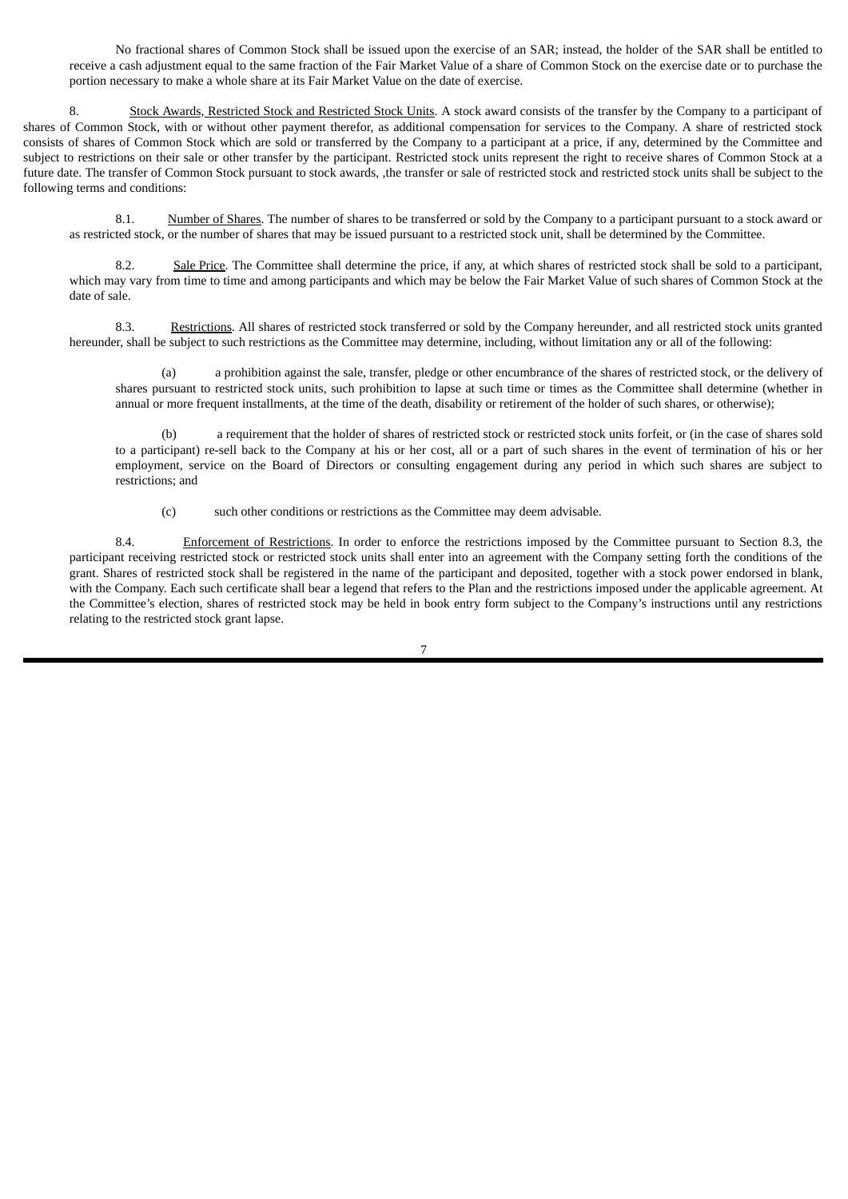No fractional shares of Common Stock shall be issued upon the exercise of an SAR; instead, the holder of the SAR shall be entitled to receive a cash adjustment equal to the same fraction of the Fair Market Value of a share of Common Stock on the exercise date or to purchase the portion necessary to make a whole share at its Fair Market Value on the date of exercise.

8. Stock Awards, Restricted Stock and Restricted Stock Units. A stock award consists of the transfer by the Company to a participant of shares of Common Stock, with or without other payment therefor, as additional compensation for services to the Company. A share of restricted stock consists of shares of Common Stock which are sold or transferred by the Company to a participant at a price, if any, determined by the Committee and subject to restrictions on their sale or other transfer by the participant. Restricted stock units represent the right to receive shares of Common Stock at a future date. The transfer of Common Stock pursuant to stock awards, ,the transfer or sale of restricted stock and restricted stock units shall be subject to the following terms and conditions:

8.1. Number of Shares. The number of shares to be transferred or sold by the Company to a participant pursuant to a stock award or as restricted stock, or the number of shares that may be issued pursuant to a restricted stock unit, shall be determined by the Committee.

8.2. Sale Price. The Committee shall determine the price, if any, at which shares of restricted stock shall be sold to a participant, which may vary from time to time and among participants and which may be below the Fair Market Value of such shares of Common Stock at the date of sale.

8.3. Restrictions. All shares of restricted stock transferred or sold by the Company hereunder, and all restricted stock units granted hereunder, shall be subject to such restrictions as the Committee may determine, including, without limitation any or all of the following:

(a) a prohibition against the sale, transfer, pledge or other encumbrance of the shares of restricted stock, or the delivery of shares pursuant to restricted stock units, such prohibition to lapse at such time or times as the Committee shall determine (whether in annual or more frequent installments, at the time of the death, disability or retirement of the holder of such shares, or otherwise);

(b) a requirement that the holder of shares of restricted stock or restricted stock units forfeit, or (in the case of shares sold to a participant) re-sell back to the Company at his or her cost, all or a part of such shares in the event of termination of his or her employment, service on the Board of Directors or consulting engagement during any period in which such shares are subject to restrictions; and

(c) such other conditions or restrictions as the Committee may deem advisable.

8.4. Enforcement of Restrictions. In order to enforce the restrictions imposed by the Committee pursuant to Section 8.3, the participant receiving restricted stock or restricted stock units shall enter into an agreement with the Company setting forth the conditions of the grant. Shares of restricted stock shall be registered in the name of the participant and deposited, together with a stock power endorsed in blank, with the Company. Each such certificate shall bear a legend that refers to the Plan and the restrictions imposed under the applicable agreement. At the Committee's election, shares of restricted stock may be held in book entry form subject to the Company's instructions until any restrictions relating to the restricted stock grant lapse.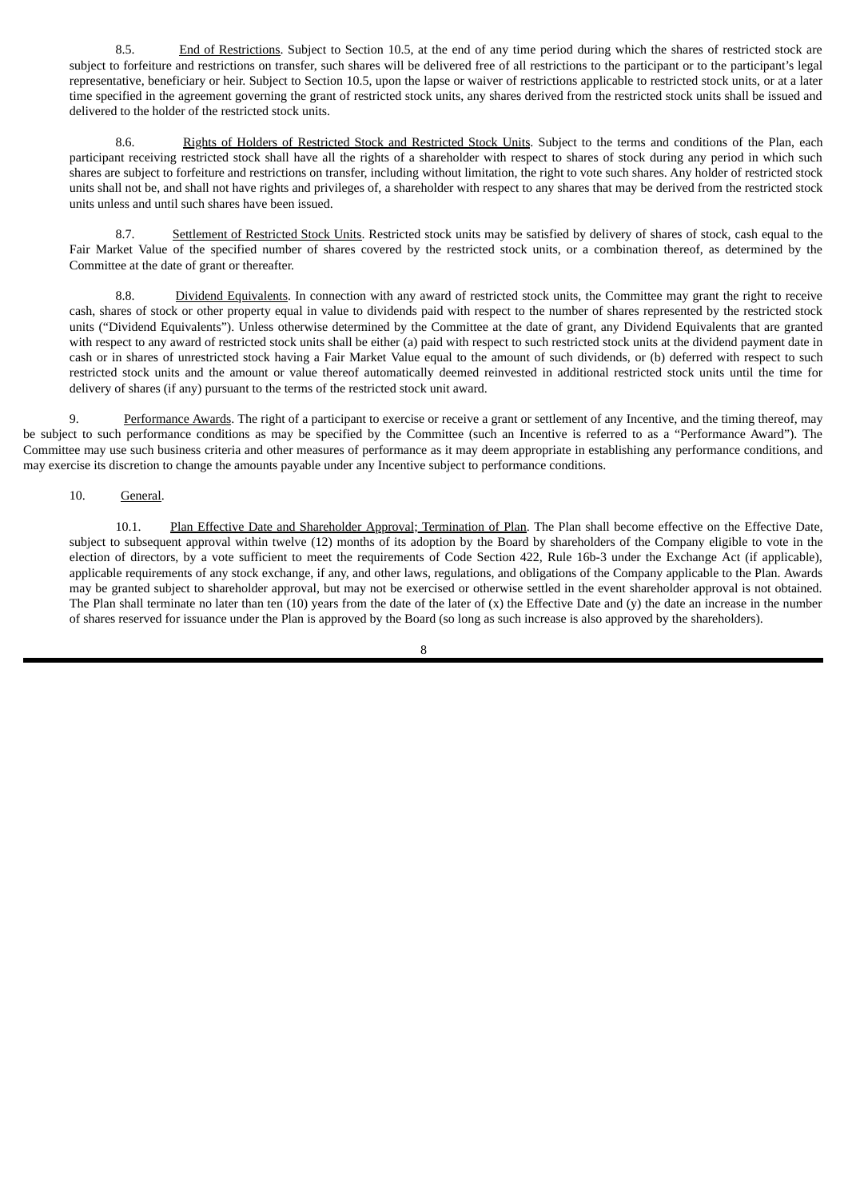8.5. End of Restrictions. Subject to Section 10.5, at the end of any time period during which the shares of restricted stock are subject to forfeiture and restrictions on transfer, such shares will be delivered free of all restrictions to the participant or to the participant's legal representative, beneficiary or heir. Subject to Section 10.5, upon the lapse or waiver of restrictions applicable to restricted stock units, or at a later time specified in the agreement governing the grant of restricted stock units, any shares derived from the restricted stock units shall be issued and delivered to the holder of the restricted stock units.

8.6. Rights of Holders of Restricted Stock and Restricted Stock Units. Subject to the terms and conditions of the Plan, each participant receiving restricted stock shall have all the rights of a shareholder with respect to shares of stock during any period in which such shares are subject to forfeiture and restrictions on transfer, including without limitation, the right to vote such shares. Any holder of restricted stock units shall not be, and shall not have rights and privileges of, a shareholder with respect to any shares that may be derived from the restricted stock units unless and until such shares have been issued.

8.7. Settlement of Restricted Stock Units. Restricted stock units may be satisfied by delivery of shares of stock, cash equal to the Fair Market Value of the specified number of shares covered by the restricted stock units, or a combination thereof, as determined by the Committee at the date of grant or thereafter.

8.8. Dividend Equivalents. In connection with any award of restricted stock units, the Committee may grant the right to receive cash, shares of stock or other property equal in value to dividends paid with respect to the number of shares represented by the restricted stock units ("Dividend Equivalents"). Unless otherwise determined by the Committee at the date of grant, any Dividend Equivalents that are granted with respect to any award of restricted stock units shall be either (a) paid with respect to such restricted stock units at the dividend payment date in cash or in shares of unrestricted stock having a Fair Market Value equal to the amount of such dividends, or (b) deferred with respect to such restricted stock units and the amount or value thereof automatically deemed reinvested in additional restricted stock units until the time for delivery of shares (if any) pursuant to the terms of the restricted stock unit award.

9. Performance Awards. The right of a participant to exercise or receive a grant or settlement of any Incentive, and the timing thereof, may be subject to such performance conditions as may be specified by the Committee (such an Incentive is referred to as a "Performance Award"). The Committee may use such business criteria and other measures of performance as it may deem appropriate in establishing any performance conditions, and may exercise its discretion to change the amounts payable under any Incentive subject to performance conditions.

## 10. General.

10.1. Plan Effective Date and Shareholder Approval; Termination of Plan. The Plan shall become effective on the Effective Date, subject to subsequent approval within twelve (12) months of its adoption by the Board by shareholders of the Company eligible to vote in the election of directors, by a vote sufficient to meet the requirements of Code Section 422, Rule 16b-3 under the Exchange Act (if applicable), applicable requirements of any stock exchange, if any, and other laws, regulations, and obligations of the Company applicable to the Plan. Awards may be granted subject to shareholder approval, but may not be exercised or otherwise settled in the event shareholder approval is not obtained. The Plan shall terminate no later than ten  $(10)$  years from the date of the later of  $(x)$  the Effective Date and  $(y)$  the date an increase in the number of shares reserved for issuance under the Plan is approved by the Board (so long as such increase is also approved by the shareholders).

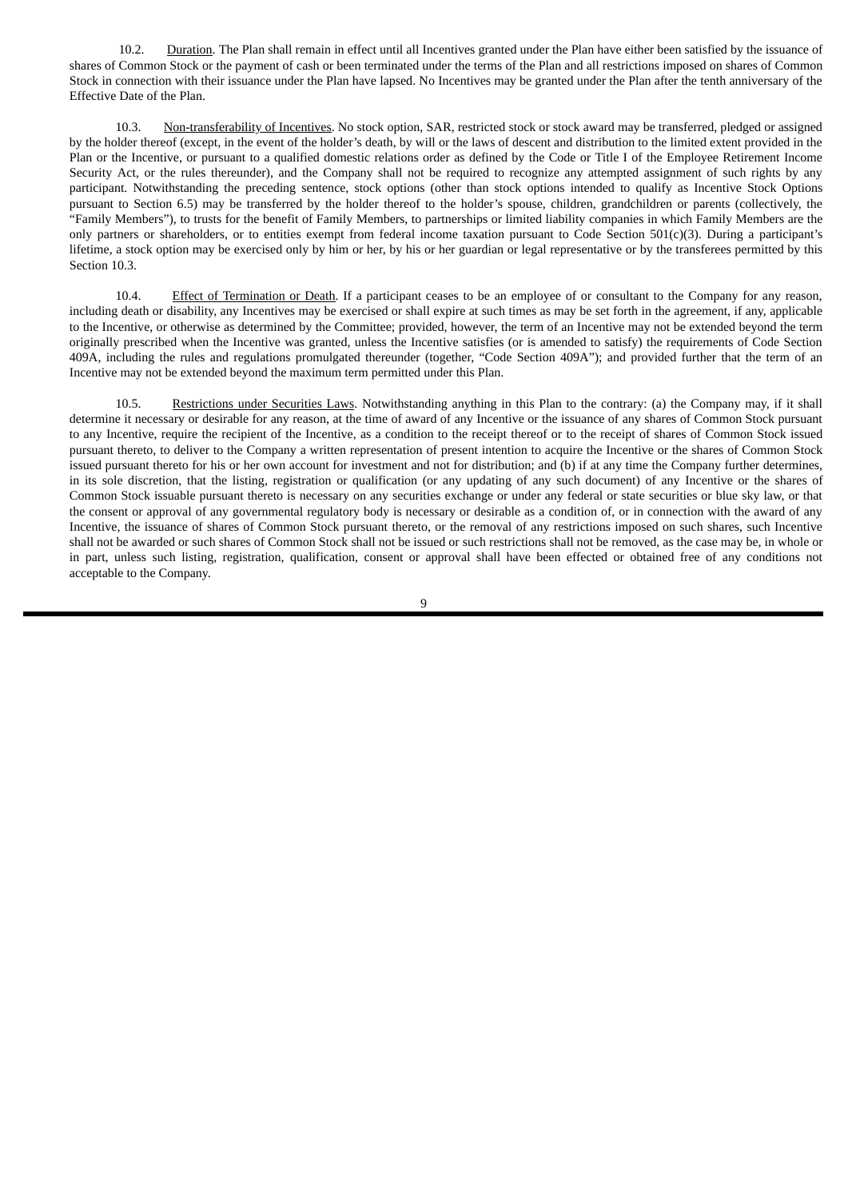10.2. Duration. The Plan shall remain in effect until all Incentives granted under the Plan have either been satisfied by the issuance of shares of Common Stock or the payment of cash or been terminated under the terms of the Plan and all restrictions imposed on shares of Common Stock in connection with their issuance under the Plan have lapsed. No Incentives may be granted under the Plan after the tenth anniversary of the Effective Date of the Plan.

10.3. Non-transferability of Incentives. No stock option, SAR, restricted stock or stock award may be transferred, pledged or assigned by the holder thereof (except, in the event of the holder's death, by will or the laws of descent and distribution to the limited extent provided in the Plan or the Incentive, or pursuant to a qualified domestic relations order as defined by the Code or Title I of the Employee Retirement Income Security Act, or the rules thereunder), and the Company shall not be required to recognize any attempted assignment of such rights by any participant. Notwithstanding the preceding sentence, stock options (other than stock options intended to qualify as Incentive Stock Options pursuant to Section 6.5) may be transferred by the holder thereof to the holder's spouse, children, grandchildren or parents (collectively, the "Family Members"), to trusts for the benefit of Family Members, to partnerships or limited liability companies in which Family Members are the only partners or shareholders, or to entities exempt from federal income taxation pursuant to Code Section 501(c)(3). During a participant's lifetime, a stock option may be exercised only by him or her, by his or her guardian or legal representative or by the transferees permitted by this Section 10.3.

10.4. Effect of Termination or Death. If a participant ceases to be an employee of or consultant to the Company for any reason, including death or disability, any Incentives may be exercised or shall expire at such times as may be set forth in the agreement, if any, applicable to the Incentive, or otherwise as determined by the Committee; provided, however, the term of an Incentive may not be extended beyond the term originally prescribed when the Incentive was granted, unless the Incentive satisfies (or is amended to satisfy) the requirements of Code Section 409A, including the rules and regulations promulgated thereunder (together, "Code Section 409A"); and provided further that the term of an Incentive may not be extended beyond the maximum term permitted under this Plan.

10.5. Restrictions under Securities Laws. Notwithstanding anything in this Plan to the contrary: (a) the Company may, if it shall determine it necessary or desirable for any reason, at the time of award of any Incentive or the issuance of any shares of Common Stock pursuant to any Incentive, require the recipient of the Incentive, as a condition to the receipt thereof or to the receipt of shares of Common Stock issued pursuant thereto, to deliver to the Company a written representation of present intention to acquire the Incentive or the shares of Common Stock issued pursuant thereto for his or her own account for investment and not for distribution; and (b) if at any time the Company further determines, in its sole discretion, that the listing, registration or qualification (or any updating of any such document) of any Incentive or the shares of Common Stock issuable pursuant thereto is necessary on any securities exchange or under any federal or state securities or blue sky law, or that the consent or approval of any governmental regulatory body is necessary or desirable as a condition of, or in connection with the award of any Incentive, the issuance of shares of Common Stock pursuant thereto, or the removal of any restrictions imposed on such shares, such Incentive shall not be awarded or such shares of Common Stock shall not be issued or such restrictions shall not be removed, as the case may be, in whole or in part, unless such listing, registration, qualification, consent or approval shall have been effected or obtained free of any conditions not acceptable to the Company.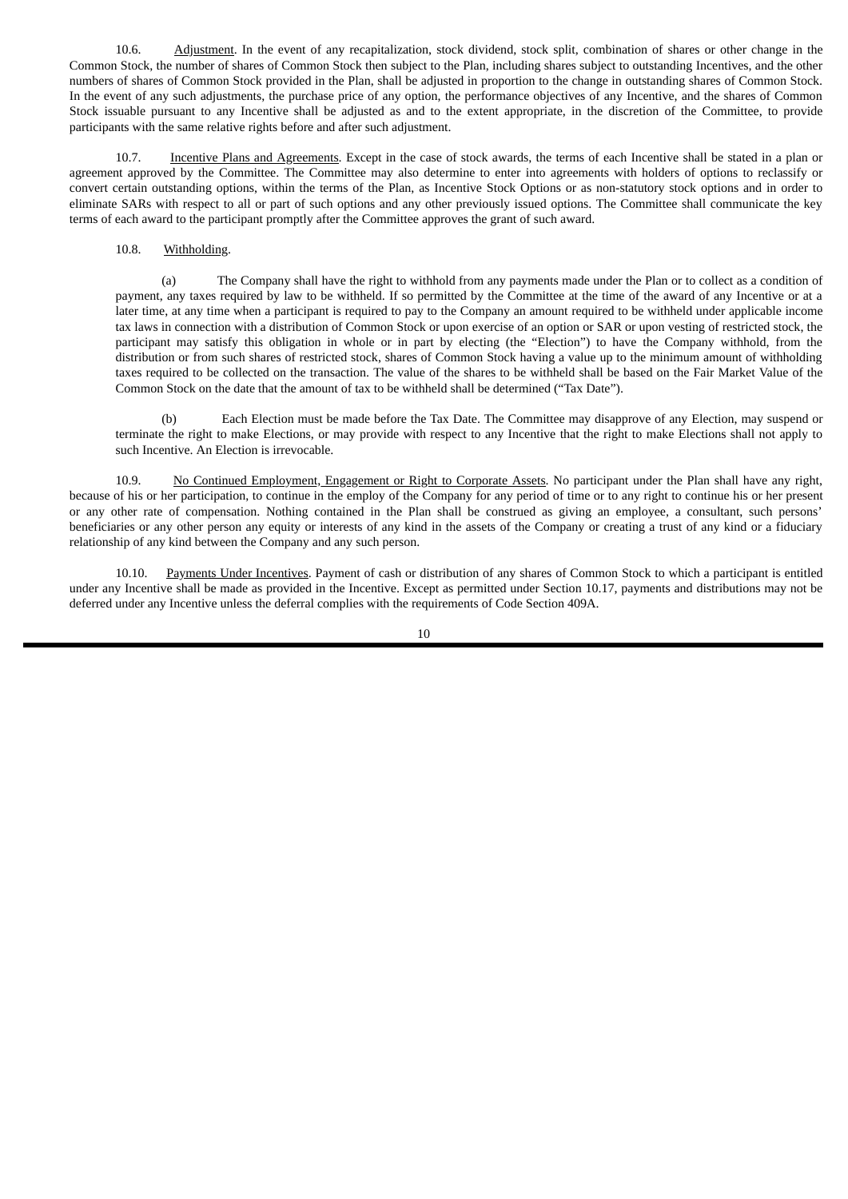10.6. Adjustment. In the event of any recapitalization, stock dividend, stock split, combination of shares or other change in the Common Stock, the number of shares of Common Stock then subject to the Plan, including shares subject to outstanding Incentives, and the other numbers of shares of Common Stock provided in the Plan, shall be adjusted in proportion to the change in outstanding shares of Common Stock. In the event of any such adjustments, the purchase price of any option, the performance objectives of any Incentive, and the shares of Common Stock issuable pursuant to any Incentive shall be adjusted as and to the extent appropriate, in the discretion of the Committee, to provide participants with the same relative rights before and after such adjustment.

10.7. Incentive Plans and Agreements. Except in the case of stock awards, the terms of each Incentive shall be stated in a plan or agreement approved by the Committee. The Committee may also determine to enter into agreements with holders of options to reclassify or convert certain outstanding options, within the terms of the Plan, as Incentive Stock Options or as non-statutory stock options and in order to eliminate SARs with respect to all or part of such options and any other previously issued options. The Committee shall communicate the key terms of each award to the participant promptly after the Committee approves the grant of such award.

### 10.8. Withholding.

(a) The Company shall have the right to withhold from any payments made under the Plan or to collect as a condition of payment, any taxes required by law to be withheld. If so permitted by the Committee at the time of the award of any Incentive or at a later time, at any time when a participant is required to pay to the Company an amount required to be withheld under applicable income tax laws in connection with a distribution of Common Stock or upon exercise of an option or SAR or upon vesting of restricted stock, the participant may satisfy this obligation in whole or in part by electing (the "Election") to have the Company withhold, from the distribution or from such shares of restricted stock, shares of Common Stock having a value up to the minimum amount of withholding taxes required to be collected on the transaction. The value of the shares to be withheld shall be based on the Fair Market Value of the Common Stock on the date that the amount of tax to be withheld shall be determined ("Tax Date").

(b) Each Election must be made before the Tax Date. The Committee may disapprove of any Election, may suspend or terminate the right to make Elections, or may provide with respect to any Incentive that the right to make Elections shall not apply to such Incentive. An Election is irrevocable.

10.9. No Continued Employment, Engagement or Right to Corporate Assets. No participant under the Plan shall have any right, because of his or her participation, to continue in the employ of the Company for any period of time or to any right to continue his or her present or any other rate of compensation. Nothing contained in the Plan shall be construed as giving an employee, a consultant, such persons' beneficiaries or any other person any equity or interests of any kind in the assets of the Company or creating a trust of any kind or a fiduciary relationship of any kind between the Company and any such person.

10.10. Payments Under Incentives. Payment of cash or distribution of any shares of Common Stock to which a participant is entitled under any Incentive shall be made as provided in the Incentive. Except as permitted under Section 10.17, payments and distributions may not be deferred under any Incentive unless the deferral complies with the requirements of Code Section 409A.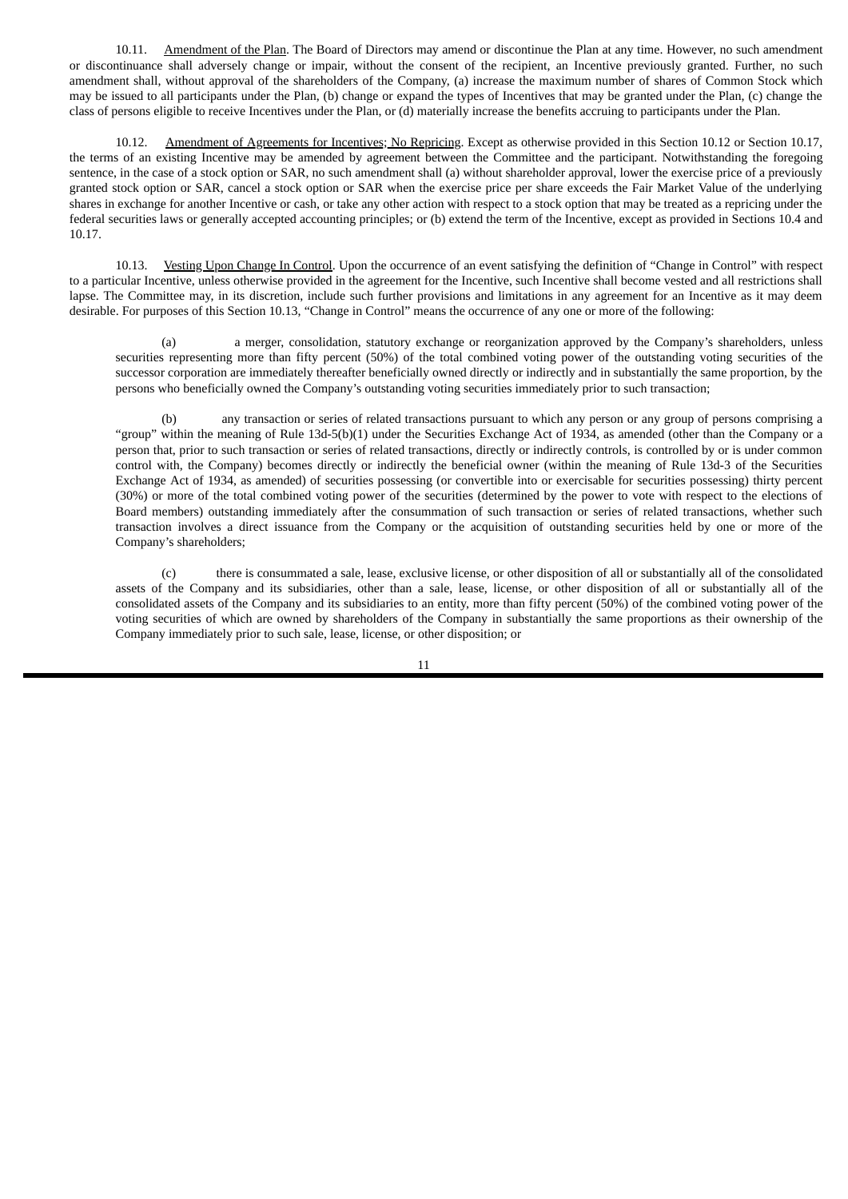10.11. Amendment of the Plan. The Board of Directors may amend or discontinue the Plan at any time. However, no such amendment or discontinuance shall adversely change or impair, without the consent of the recipient, an Incentive previously granted. Further, no such amendment shall, without approval of the shareholders of the Company, (a) increase the maximum number of shares of Common Stock which may be issued to all participants under the Plan, (b) change or expand the types of Incentives that may be granted under the Plan, (c) change the class of persons eligible to receive Incentives under the Plan, or (d) materially increase the benefits accruing to participants under the Plan.

10.12. Amendment of Agreements for Incentives; No Repricing. Except as otherwise provided in this Section 10.12 or Section 10.17, the terms of an existing Incentive may be amended by agreement between the Committee and the participant. Notwithstanding the foregoing sentence, in the case of a stock option or SAR, no such amendment shall (a) without shareholder approval, lower the exercise price of a previously granted stock option or SAR, cancel a stock option or SAR when the exercise price per share exceeds the Fair Market Value of the underlying shares in exchange for another Incentive or cash, or take any other action with respect to a stock option that may be treated as a repricing under the federal securities laws or generally accepted accounting principles; or (b) extend the term of the Incentive, except as provided in Sections 10.4 and 10.17.

10.13. Vesting Upon Change In Control. Upon the occurrence of an event satisfying the definition of "Change in Control" with respect to a particular Incentive, unless otherwise provided in the agreement for the Incentive, such Incentive shall become vested and all restrictions shall lapse. The Committee may, in its discretion, include such further provisions and limitations in any agreement for an Incentive as it may deem desirable. For purposes of this Section 10.13, "Change in Control" means the occurrence of any one or more of the following:

(a) a merger, consolidation, statutory exchange or reorganization approved by the Company's shareholders, unless securities representing more than fifty percent (50%) of the total combined voting power of the outstanding voting securities of the successor corporation are immediately thereafter beneficially owned directly or indirectly and in substantially the same proportion, by the persons who beneficially owned the Company's outstanding voting securities immediately prior to such transaction;

(b) any transaction or series of related transactions pursuant to which any person or any group of persons comprising a "group" within the meaning of Rule 13d-5(b)(1) under the Securities Exchange Act of 1934, as amended (other than the Company or a person that, prior to such transaction or series of related transactions, directly or indirectly controls, is controlled by or is under common control with, the Company) becomes directly or indirectly the beneficial owner (within the meaning of Rule 13d-3 of the Securities Exchange Act of 1934, as amended) of securities possessing (or convertible into or exercisable for securities possessing) thirty percent (30%) or more of the total combined voting power of the securities (determined by the power to vote with respect to the elections of Board members) outstanding immediately after the consummation of such transaction or series of related transactions, whether such transaction involves a direct issuance from the Company or the acquisition of outstanding securities held by one or more of the Company's shareholders;

(c) there is consummated a sale, lease, exclusive license, or other disposition of all or substantially all of the consolidated assets of the Company and its subsidiaries, other than a sale, lease, license, or other disposition of all or substantially all of the consolidated assets of the Company and its subsidiaries to an entity, more than fifty percent (50%) of the combined voting power of the voting securities of which are owned by shareholders of the Company in substantially the same proportions as their ownership of the Company immediately prior to such sale, lease, license, or other disposition; or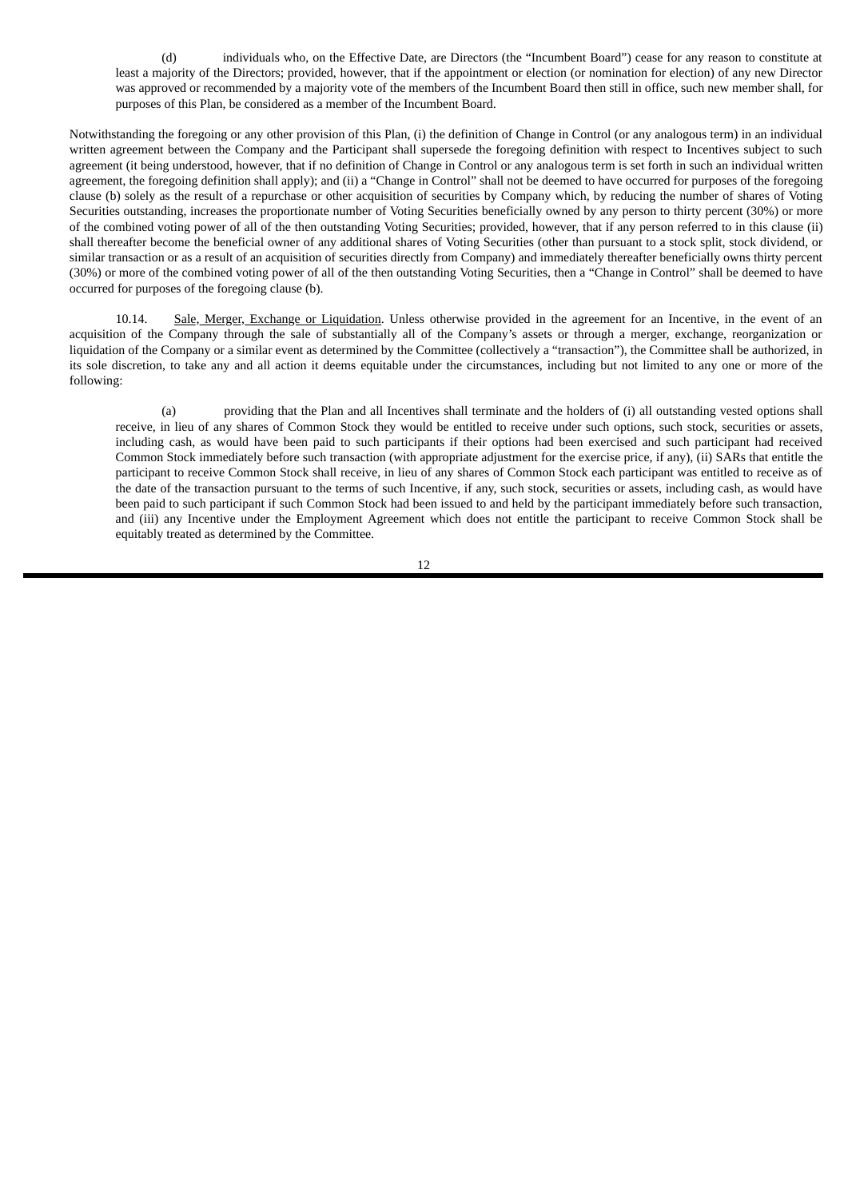(d) individuals who, on the Effective Date, are Directors (the "Incumbent Board") cease for any reason to constitute at least a majority of the Directors; provided, however, that if the appointment or election (or nomination for election) of any new Director was approved or recommended by a majority vote of the members of the Incumbent Board then still in office, such new member shall, for purposes of this Plan, be considered as a member of the Incumbent Board.

Notwithstanding the foregoing or any other provision of this Plan, (i) the definition of Change in Control (or any analogous term) in an individual written agreement between the Company and the Participant shall supersede the foregoing definition with respect to Incentives subject to such agreement (it being understood, however, that if no definition of Change in Control or any analogous term is set forth in such an individual written agreement, the foregoing definition shall apply); and (ii) a "Change in Control" shall not be deemed to have occurred for purposes of the foregoing clause (b) solely as the result of a repurchase or other acquisition of securities by Company which, by reducing the number of shares of Voting Securities outstanding, increases the proportionate number of Voting Securities beneficially owned by any person to thirty percent (30%) or more of the combined voting power of all of the then outstanding Voting Securities; provided, however, that if any person referred to in this clause (ii) shall thereafter become the beneficial owner of any additional shares of Voting Securities (other than pursuant to a stock split, stock dividend, or similar transaction or as a result of an acquisition of securities directly from Company) and immediately thereafter beneficially owns thirty percent (30%) or more of the combined voting power of all of the then outstanding Voting Securities, then a "Change in Control" shall be deemed to have occurred for purposes of the foregoing clause (b).

10.14. Sale, Merger, Exchange or Liquidation. Unless otherwise provided in the agreement for an Incentive, in the event of an acquisition of the Company through the sale of substantially all of the Company's assets or through a merger, exchange, reorganization or liquidation of the Company or a similar event as determined by the Committee (collectively a "transaction"), the Committee shall be authorized, in its sole discretion, to take any and all action it deems equitable under the circumstances, including but not limited to any one or more of the following:

(a) providing that the Plan and all Incentives shall terminate and the holders of (i) all outstanding vested options shall receive, in lieu of any shares of Common Stock they would be entitled to receive under such options, such stock, securities or assets, including cash, as would have been paid to such participants if their options had been exercised and such participant had received Common Stock immediately before such transaction (with appropriate adjustment for the exercise price, if any), (ii) SARs that entitle the participant to receive Common Stock shall receive, in lieu of any shares of Common Stock each participant was entitled to receive as of the date of the transaction pursuant to the terms of such Incentive, if any, such stock, securities or assets, including cash, as would have been paid to such participant if such Common Stock had been issued to and held by the participant immediately before such transaction, and (iii) any Incentive under the Employment Agreement which does not entitle the participant to receive Common Stock shall be equitably treated as determined by the Committee.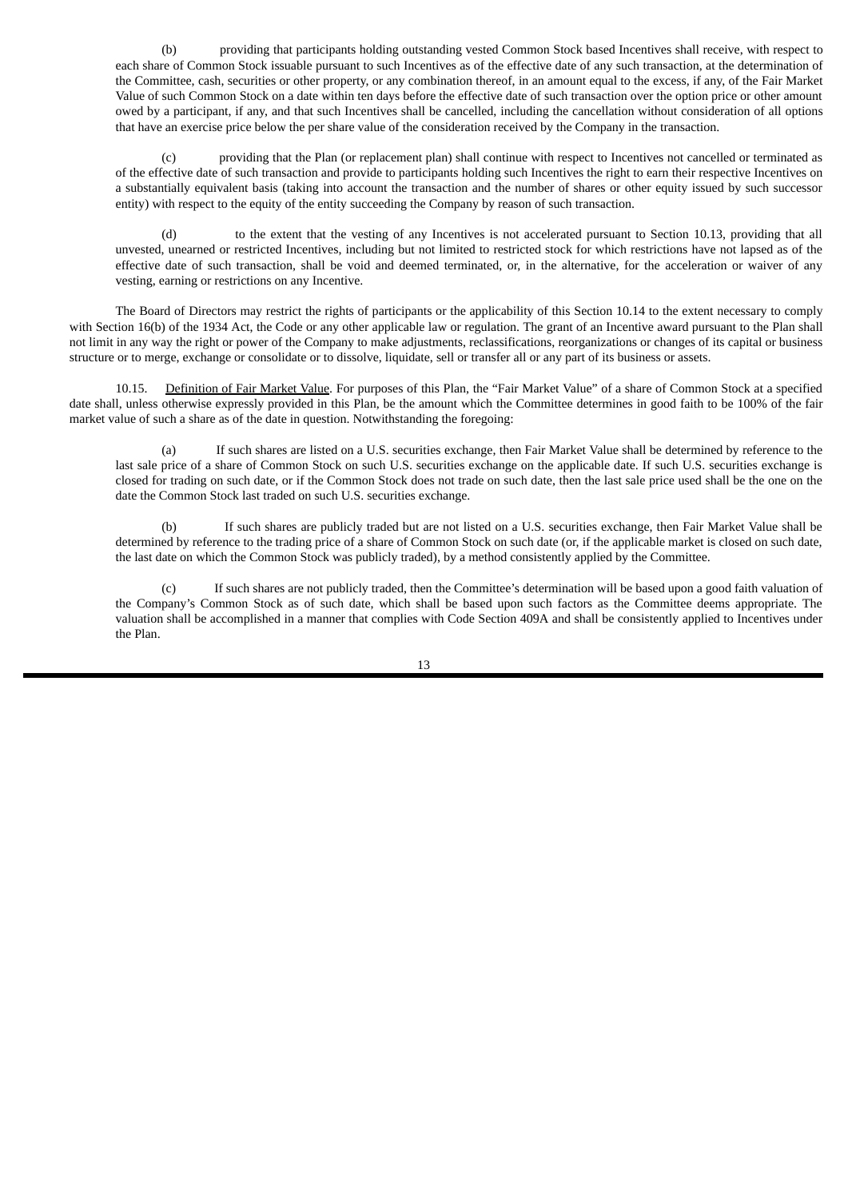(b) providing that participants holding outstanding vested Common Stock based Incentives shall receive, with respect to each share of Common Stock issuable pursuant to such Incentives as of the effective date of any such transaction, at the determination of the Committee, cash, securities or other property, or any combination thereof, in an amount equal to the excess, if any, of the Fair Market Value of such Common Stock on a date within ten days before the effective date of such transaction over the option price or other amount owed by a participant, if any, and that such Incentives shall be cancelled, including the cancellation without consideration of all options that have an exercise price below the per share value of the consideration received by the Company in the transaction.

(c) providing that the Plan (or replacement plan) shall continue with respect to Incentives not cancelled or terminated as of the effective date of such transaction and provide to participants holding such Incentives the right to earn their respective Incentives on a substantially equivalent basis (taking into account the transaction and the number of shares or other equity issued by such successor entity) with respect to the equity of the entity succeeding the Company by reason of such transaction.

(d) to the extent that the vesting of any Incentives is not accelerated pursuant to Section 10.13, providing that all unvested, unearned or restricted Incentives, including but not limited to restricted stock for which restrictions have not lapsed as of the effective date of such transaction, shall be void and deemed terminated, or, in the alternative, for the acceleration or waiver of any vesting, earning or restrictions on any Incentive.

The Board of Directors may restrict the rights of participants or the applicability of this Section 10.14 to the extent necessary to comply with Section 16(b) of the 1934 Act, the Code or any other applicable law or regulation. The grant of an Incentive award pursuant to the Plan shall not limit in any way the right or power of the Company to make adjustments, reclassifications, reorganizations or changes of its capital or business structure or to merge, exchange or consolidate or to dissolve, liquidate, sell or transfer all or any part of its business or assets.

10.15. Definition of Fair Market Value. For purposes of this Plan, the "Fair Market Value" of a share of Common Stock at a specified date shall, unless otherwise expressly provided in this Plan, be the amount which the Committee determines in good faith to be 100% of the fair market value of such a share as of the date in question. Notwithstanding the foregoing:

(a) If such shares are listed on a U.S. securities exchange, then Fair Market Value shall be determined by reference to the last sale price of a share of Common Stock on such U.S. securities exchange on the applicable date. If such U.S. securities exchange is closed for trading on such date, or if the Common Stock does not trade on such date, then the last sale price used shall be the one on the date the Common Stock last traded on such U.S. securities exchange.

(b) If such shares are publicly traded but are not listed on a U.S. securities exchange, then Fair Market Value shall be determined by reference to the trading price of a share of Common Stock on such date (or, if the applicable market is closed on such date, the last date on which the Common Stock was publicly traded), by a method consistently applied by the Committee.

(c) If such shares are not publicly traded, then the Committee's determination will be based upon a good faith valuation of the Company's Common Stock as of such date, which shall be based upon such factors as the Committee deems appropriate. The valuation shall be accomplished in a manner that complies with Code Section 409A and shall be consistently applied to Incentives under the Plan.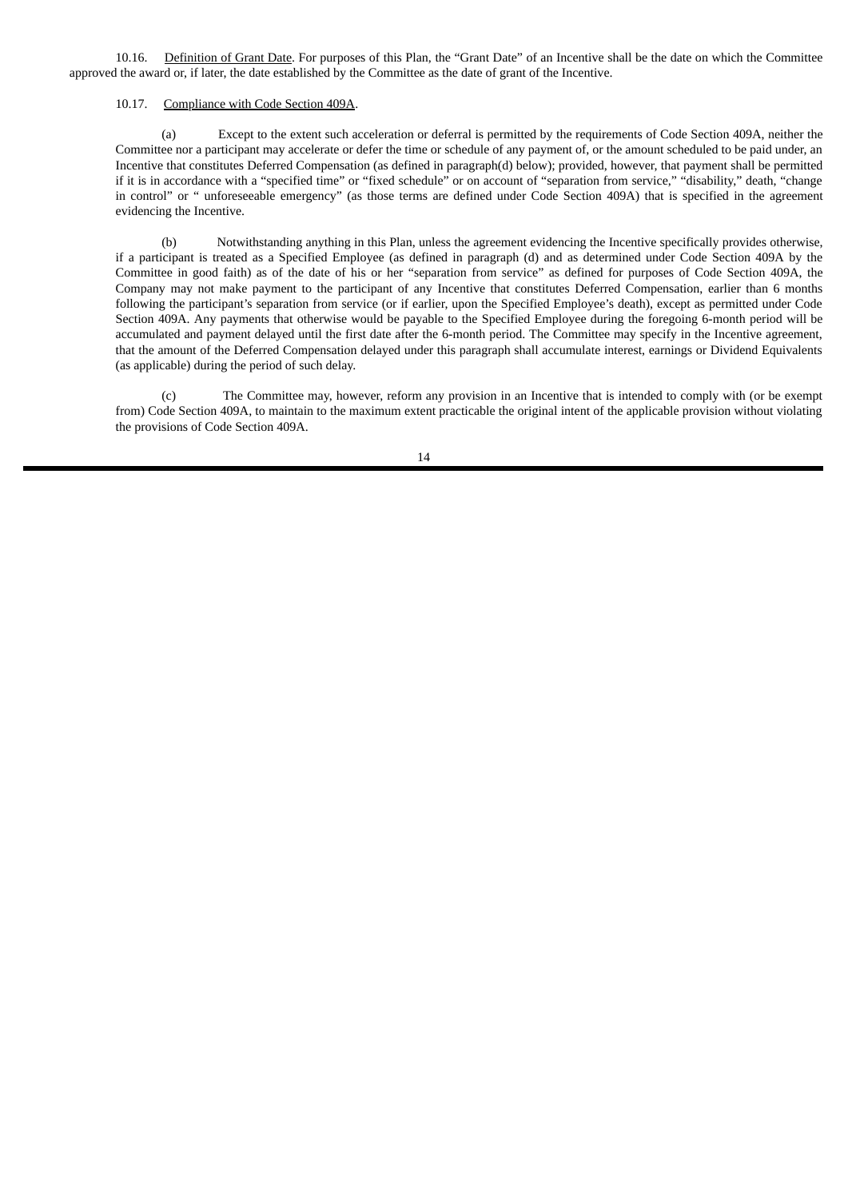10.16. Definition of Grant Date. For purposes of this Plan, the "Grant Date" of an Incentive shall be the date on which the Committee approved the award or, if later, the date established by the Committee as the date of grant of the Incentive.

### 10.17. Compliance with Code Section 409A.

(a) Except to the extent such acceleration or deferral is permitted by the requirements of Code Section 409A, neither the Committee nor a participant may accelerate or defer the time or schedule of any payment of, or the amount scheduled to be paid under, an Incentive that constitutes Deferred Compensation (as defined in paragraph(d) below); provided, however, that payment shall be permitted if it is in accordance with a "specified time" or "fixed schedule" or on account of "separation from service," "disability," death, "change in control" or " unforeseeable emergency" (as those terms are defined under Code Section 409A) that is specified in the agreement evidencing the Incentive.

(b) Notwithstanding anything in this Plan, unless the agreement evidencing the Incentive specifically provides otherwise, if a participant is treated as a Specified Employee (as defined in paragraph (d) and as determined under Code Section 409A by the Committee in good faith) as of the date of his or her "separation from service" as defined for purposes of Code Section 409A, the Company may not make payment to the participant of any Incentive that constitutes Deferred Compensation, earlier than 6 months following the participant's separation from service (or if earlier, upon the Specified Employee's death), except as permitted under Code Section 409A. Any payments that otherwise would be payable to the Specified Employee during the foregoing 6-month period will be accumulated and payment delayed until the first date after the 6-month period. The Committee may specify in the Incentive agreement, that the amount of the Deferred Compensation delayed under this paragraph shall accumulate interest, earnings or Dividend Equivalents (as applicable) during the period of such delay.

(c) The Committee may, however, reform any provision in an Incentive that is intended to comply with (or be exempt from) Code Section 409A, to maintain to the maximum extent practicable the original intent of the applicable provision without violating the provisions of Code Section 409A.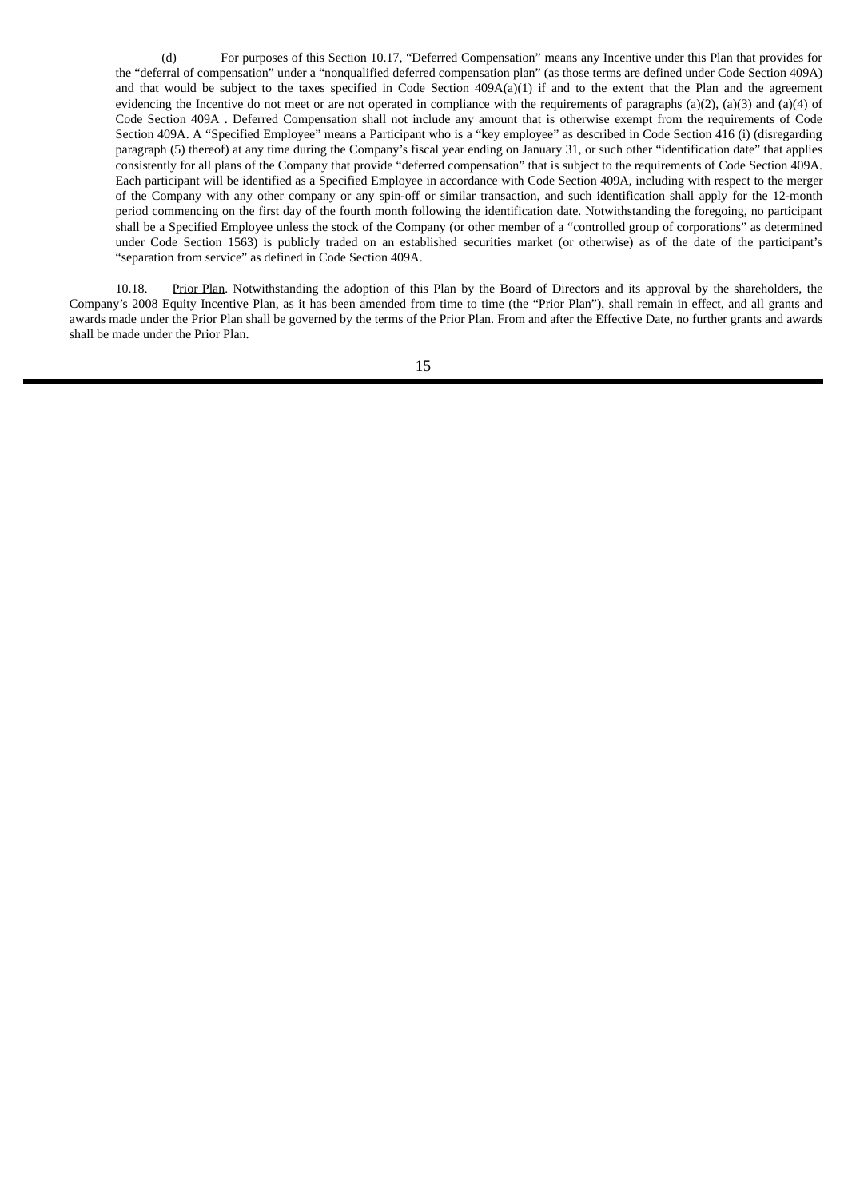(d) For purposes of this Section 10.17, "Deferred Compensation" means any Incentive under this Plan that provides for the "deferral of compensation" under a "nonqualified deferred compensation plan" (as those terms are defined under Code Section 409A) and that would be subject to the taxes specified in Code Section  $409A(a)(1)$  if and to the extent that the Plan and the agreement evidencing the Incentive do not meet or are not operated in compliance with the requirements of paragraphs (a)(2), (a)(3) and (a)(4) of Code Section 409A . Deferred Compensation shall not include any amount that is otherwise exempt from the requirements of Code Section 409A. A "Specified Employee" means a Participant who is a "key employee" as described in Code Section 416 (i) (disregarding paragraph (5) thereof) at any time during the Company's fiscal year ending on January 31, or such other "identification date" that applies consistently for all plans of the Company that provide "deferred compensation" that is subject to the requirements of Code Section 409A. Each participant will be identified as a Specified Employee in accordance with Code Section 409A, including with respect to the merger of the Company with any other company or any spin-off or similar transaction, and such identification shall apply for the 12-month period commencing on the first day of the fourth month following the identification date. Notwithstanding the foregoing, no participant shall be a Specified Employee unless the stock of the Company (or other member of a "controlled group of corporations" as determined under Code Section 1563) is publicly traded on an established securities market (or otherwise) as of the date of the participant's "separation from service" as defined in Code Section 409A.

10.18. Prior Plan. Notwithstanding the adoption of this Plan by the Board of Directors and its approval by the shareholders, the Company's 2008 Equity Incentive Plan, as it has been amended from time to time (the "Prior Plan"), shall remain in effect, and all grants and awards made under the Prior Plan shall be governed by the terms of the Prior Plan. From and after the Effective Date, no further grants and awards shall be made under the Prior Plan.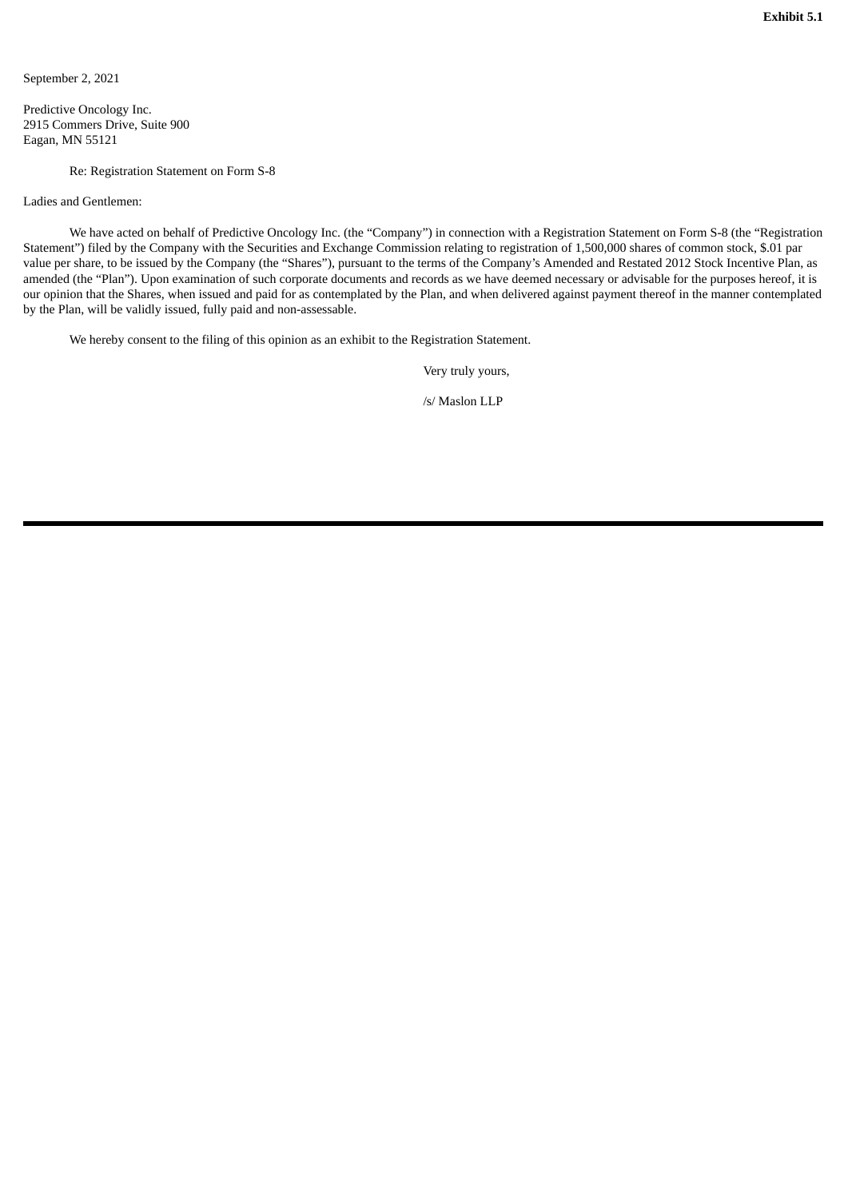<span id="page-24-0"></span>September 2, 2021

Predictive Oncology Inc. 2915 Commers Drive, Suite 900 Eagan, MN 55121

Re: Registration Statement on Form S-8

Ladies and Gentlemen:

We have acted on behalf of Predictive Oncology Inc. (the "Company") in connection with a Registration Statement on Form S-8 (the "Registration Statement") filed by the Company with the Securities and Exchange Commission relating to registration of 1,500,000 shares of common stock, \$.01 par value per share, to be issued by the Company (the "Shares"), pursuant to the terms of the Company's Amended and Restated 2012 Stock Incentive Plan, as amended (the "Plan"). Upon examination of such corporate documents and records as we have deemed necessary or advisable for the purposes hereof, it is our opinion that the Shares, when issued and paid for as contemplated by the Plan, and when delivered against payment thereof in the manner contemplated by the Plan, will be validly issued, fully paid and non-assessable.

We hereby consent to the filing of this opinion as an exhibit to the Registration Statement.

Very truly yours,

/s/ Maslon LLP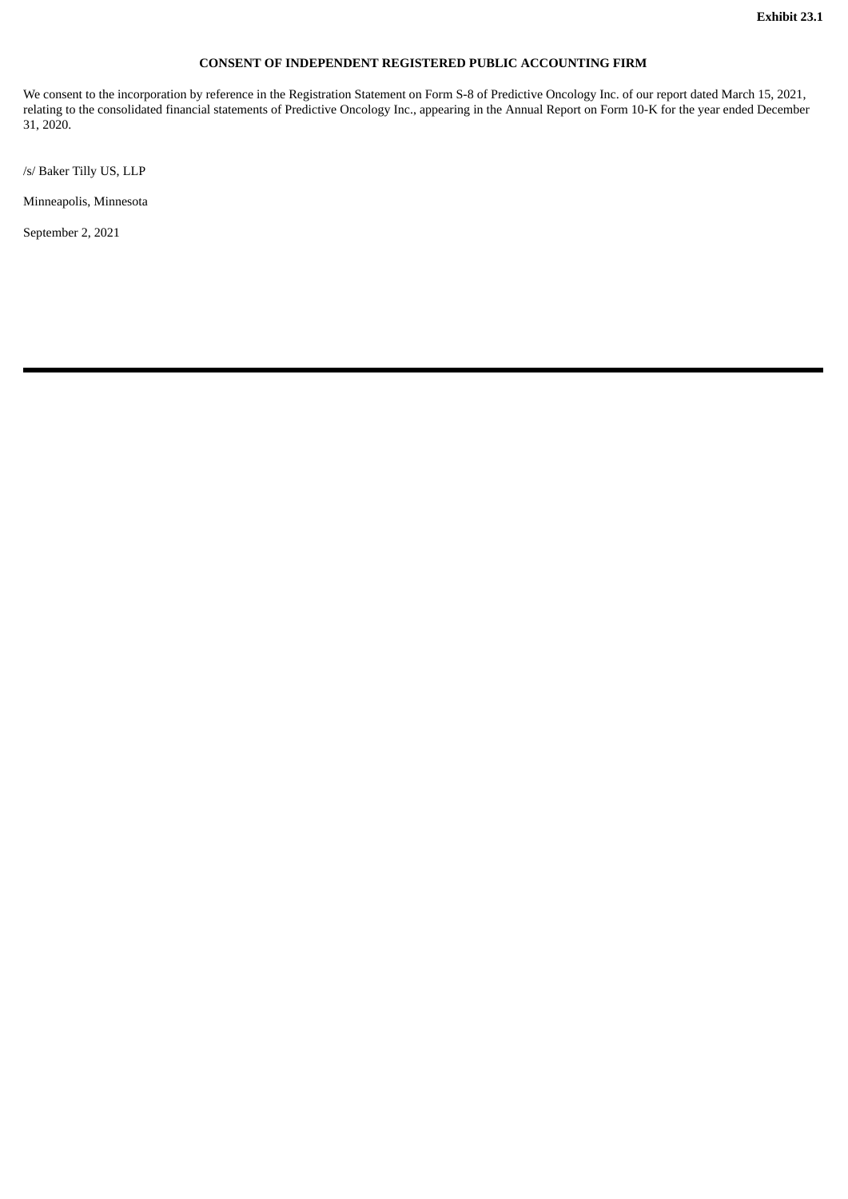# **CONSENT OF INDEPENDENT REGISTERED PUBLIC ACCOUNTING FIRM**

<span id="page-25-0"></span>We consent to the incorporation by reference in the Registration Statement on Form S-8 of Predictive Oncology Inc. of our report dated March 15, 2021, relating to the consolidated financial statements of Predictive Oncology Inc., appearing in the Annual Report on Form 10-K for the year ended December 31, 2020.

/s/ Baker Tilly US, LLP

Minneapolis, Minnesota

September 2, 2021